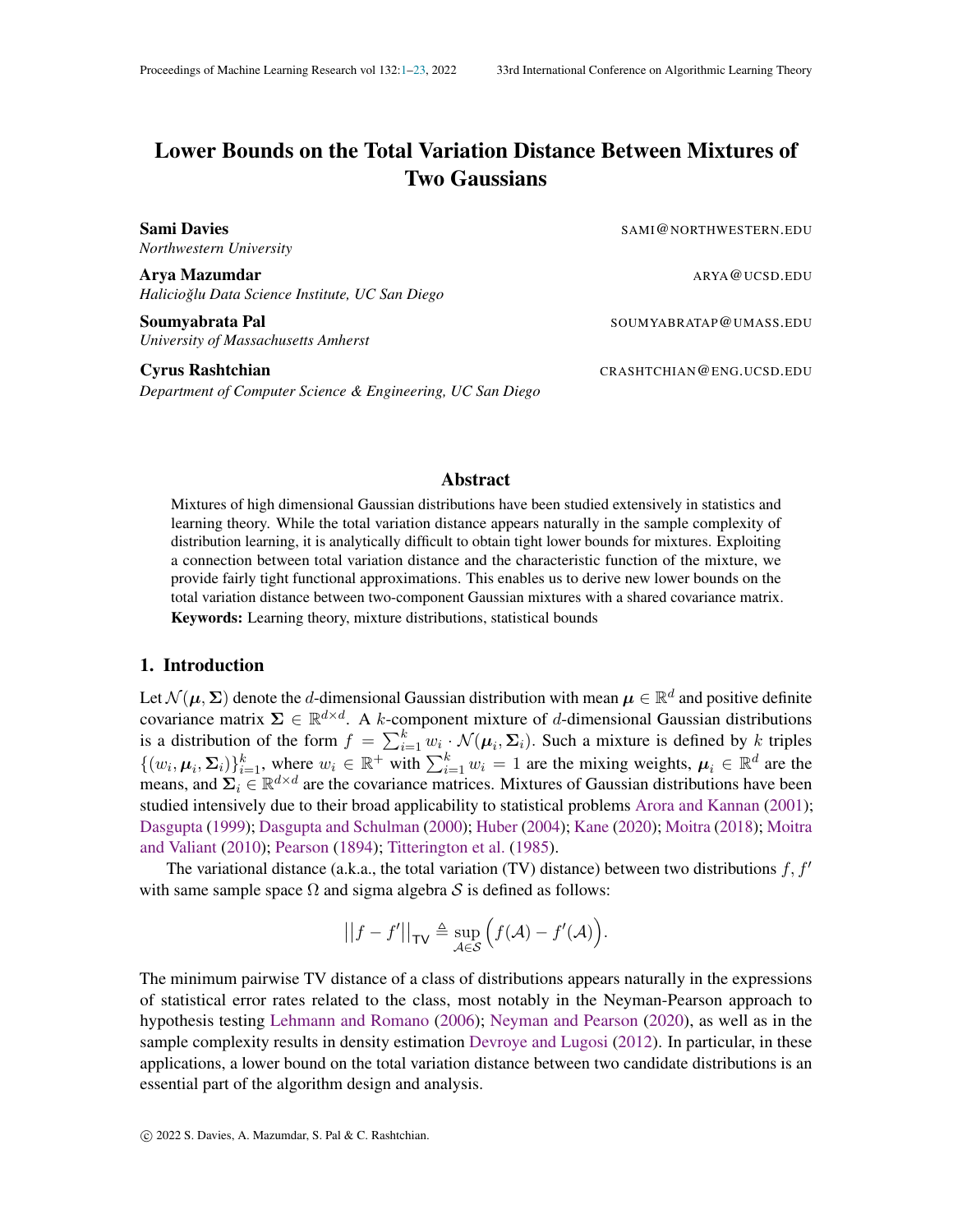# <span id="page-0-0"></span>Lower Bounds on the Total Variation Distance Between Mixtures of Two Gaussians

*Northwestern University*

Sami Davies Sami Davies SAMI@NORTHWESTERN.EDU

Arya Mazumdar ARYA@UCSD.EDU *Halicioglu Data Science Institute, UC San Diego ˇ*

Soumvabrata Pal Soumvabrata Pal Soumvabrata Pal Soumvabrata Pal Soumvabrata Pal Soumvabrata Pal Soumvabrata Pal *University of Massachusetts Amherst*

*Department of Computer Science & Engineering, UC San Diego*

#### Abstract

Mixtures of high dimensional Gaussian distributions have been studied extensively in statistics and learning theory. While the total variation distance appears naturally in the sample complexity of distribution learning, it is analytically difficult to obtain tight lower bounds for mixtures. Exploiting a connection between total variation distance and the characteristic function of the mixture, we provide fairly tight functional approximations. This enables us to derive new lower bounds on the total variation distance between two-component Gaussian mixtures with a shared covariance matrix. Keywords: Learning theory, mixture distributions, statistical bounds

# 1. Introduction

Let  $\mathcal{N}(\mu, \Sigma)$  denote the *d*-dimensional Gaussian distribution with mean  $\mu \in \mathbb{R}^d$  and positive definite covariance matrix  $\Sigma \in \mathbb{R}^{d \times d}$ . A k-component mixture of d-dimensional Gaussian distributions is a distribution of the form  $f = \sum_{i=1}^{k} w_i \cdot \mathcal{N}(\mu_i, \Sigma_i)$ . Such a mixture is defined by k triples  $\{(w_i, \mu_i, \Sigma_i)\}_{i=1}^k$ , where  $w_i \in \mathbb{R}^+$  with  $\sum_{i=1}^k w_i = 1$  are the mixing weights,  $\mu_i \in \mathbb{R}^d$  are the means, and  $\Sigma_i \in \mathbb{R}^{d \times d}$  are the covariance matrices. Mixtures of Gaussian distributions have been studied intensively due to their broad applicability to statistical problems [Arora and Kannan](#page-13-0) [\(2001\)](#page-13-0); [Dasgupta](#page-14-0) [\(1999\)](#page-14-0); [Dasgupta and Schulman](#page-14-1) [\(2000\)](#page-14-1); [Huber](#page-15-0) [\(2004\)](#page-15-0); [Kane](#page-15-1) [\(2020\)](#page-15-1); [Moitra](#page-15-2) [\(2018\)](#page-15-2); [Moitra](#page-15-3) [and Valiant](#page-15-3) [\(2010\)](#page-15-3); [Pearson](#page-15-4) [\(1894\)](#page-15-4); [Titterington et al.](#page-15-5) [\(1985\)](#page-15-5).

The variational distance (a.k.a., the total variation (TV) distance) between two distributions f,  $f'$ with same sample space  $\Omega$  and sigma algebra S is defined as follows:

$$
||f - f'||_{\mathsf{TV}} \triangleq \sup_{\mathcal{A} \in \mathcal{S}} \Big( f(\mathcal{A}) - f'(\mathcal{A}) \Big).
$$

The minimum pairwise TV distance of a class of distributions appears naturally in the expressions of statistical error rates related to the class, most notably in the Neyman-Pearson approach to hypothesis testing [Lehmann and Romano](#page-15-6) [\(2006\)](#page-15-6); [Neyman and Pearson](#page-15-7) [\(2020\)](#page-15-7), as well as in the sample complexity results in density estimation [Devroye and Lugosi](#page-14-2) [\(2012\)](#page-14-2). In particular, in these applications, a lower bound on the total variation distance between two candidate distributions is an essential part of the algorithm design and analysis.

**Cyrus Rashtchian** CRASHTCHIAN@ENG.UCSD.EDU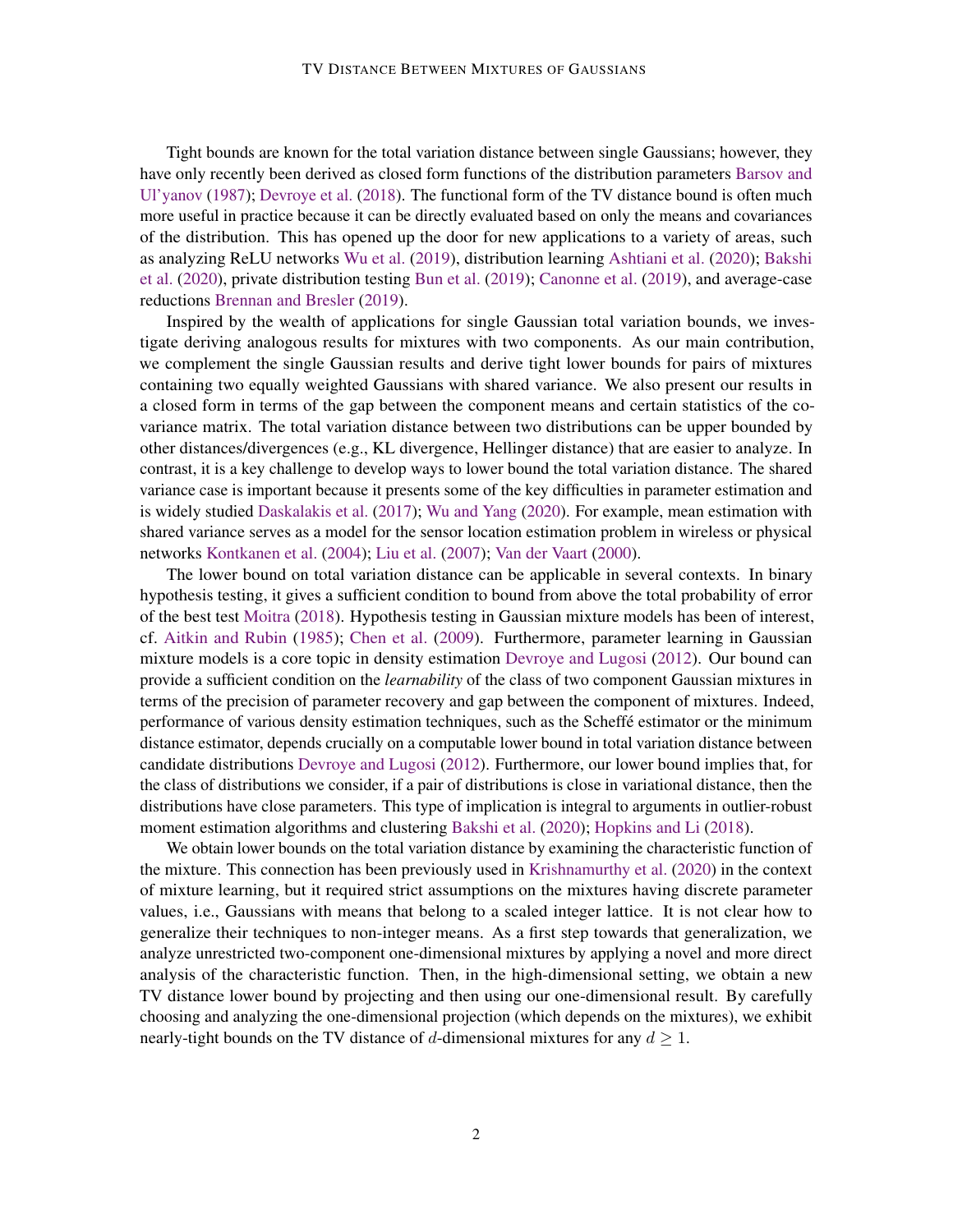Tight bounds are known for the total variation distance between single Gaussians; however, they have only recently been derived as closed form functions of the distribution parameters [Barsov and](#page-14-3) [Ul'yanov](#page-14-3) [\(1987\)](#page-14-3); [Devroye et al.](#page-14-4) [\(2018\)](#page-14-4). The functional form of the TV distance bound is often much more useful in practice because it can be directly evaluated based on only the means and covariances of the distribution. This has opened up the door for new applications to a variety of areas, such as analyzing ReLU networks [Wu et al.](#page-15-8) [\(2019\)](#page-15-8), distribution learning [Ashtiani et al.](#page-13-1) [\(2020\)](#page-13-1); [Bakshi](#page-13-2) [et al.](#page-13-2) [\(2020\)](#page-13-2), private distribution testing [Bun et al.](#page-14-5) [\(2019\)](#page-14-5); [Canonne et al.](#page-14-6) [\(2019\)](#page-14-6), and average-case reductions [Brennan and Bresler](#page-14-7) [\(2019\)](#page-14-7).

Inspired by the wealth of applications for single Gaussian total variation bounds, we investigate deriving analogous results for mixtures with two components. As our main contribution, we complement the single Gaussian results and derive tight lower bounds for pairs of mixtures containing two equally weighted Gaussians with shared variance. We also present our results in a closed form in terms of the gap between the component means and certain statistics of the covariance matrix. The total variation distance between two distributions can be upper bounded by other distances/divergences (e.g., KL divergence, Hellinger distance) that are easier to analyze. In contrast, it is a key challenge to develop ways to lower bound the total variation distance. The shared variance case is important because it presents some of the key difficulties in parameter estimation and is widely studied [Daskalakis et al.](#page-14-8) [\(2017\)](#page-14-8); [Wu and Yang](#page-15-9) [\(2020\)](#page-15-9). For example, mean estimation with shared variance serves as a model for the sensor location estimation problem in wireless or physical networks [Kontkanen et al.](#page-15-10) [\(2004\)](#page-15-10); [Liu et al.](#page-15-11) [\(2007\)](#page-15-11); [Van der Vaart](#page-15-12) [\(2000\)](#page-15-12).

The lower bound on total variation distance can be applicable in several contexts. In binary hypothesis testing, it gives a sufficient condition to bound from above the total probability of error of the best test [Moitra](#page-15-2) [\(2018\)](#page-15-2). Hypothesis testing in Gaussian mixture models has been of interest, cf. [Aitkin and Rubin](#page-13-3) [\(1985\)](#page-13-3); [Chen et al.](#page-14-9) [\(2009\)](#page-14-9). Furthermore, parameter learning in Gaussian mixture models is a core topic in density estimation [Devroye and Lugosi](#page-14-2) [\(2012\)](#page-14-2). Our bound can provide a sufficient condition on the *learnability* of the class of two component Gaussian mixtures in terms of the precision of parameter recovery and gap between the component of mixtures. Indeed, performance of various density estimation techniques, such as the Scheffé estimator or the minimum distance estimator, depends crucially on a computable lower bound in total variation distance between candidate distributions [Devroye and Lugosi](#page-14-2) [\(2012\)](#page-14-2). Furthermore, our lower bound implies that, for the class of distributions we consider, if a pair of distributions is close in variational distance, then the distributions have close parameters. This type of implication is integral to arguments in outlier-robust moment estimation algorithms and clustering [Bakshi et al.](#page-13-2) [\(2020\)](#page-13-2); [Hopkins and Li](#page-14-10) [\(2018\)](#page-14-10).

We obtain lower bounds on the total variation distance by examining the characteristic function of the mixture. This connection has been previously used in [Krishnamurthy et al.](#page-15-13) [\(2020\)](#page-15-13) in the context of mixture learning, but it required strict assumptions on the mixtures having discrete parameter values, i.e., Gaussians with means that belong to a scaled integer lattice. It is not clear how to generalize their techniques to non-integer means. As a first step towards that generalization, we analyze unrestricted two-component one-dimensional mixtures by applying a novel and more direct analysis of the characteristic function. Then, in the high-dimensional setting, we obtain a new TV distance lower bound by projecting and then using our one-dimensional result. By carefully choosing and analyzing the one-dimensional projection (which depends on the mixtures), we exhibit nearly-tight bounds on the TV distance of d-dimensional mixtures for any  $d \geq 1$ .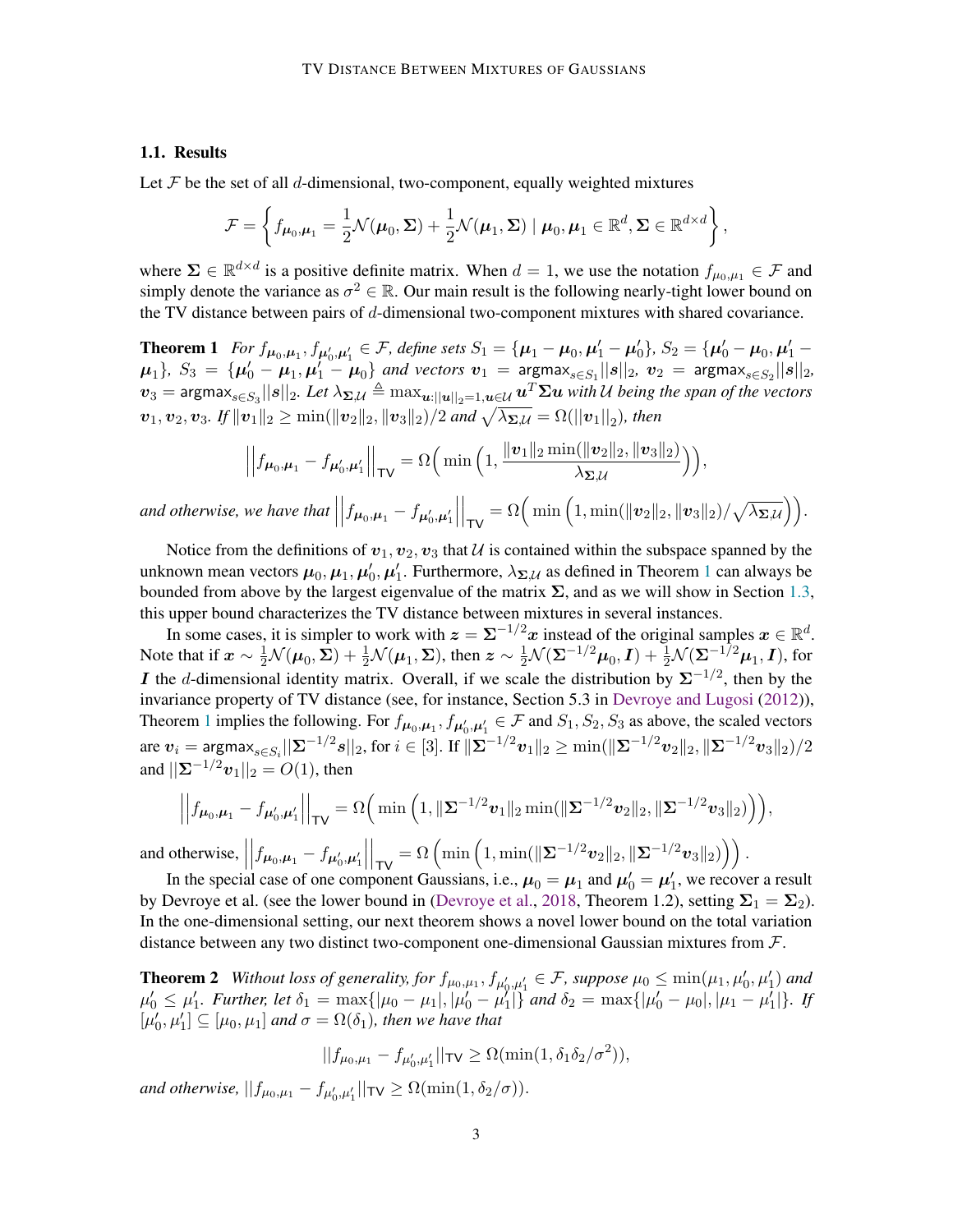## 1.1. Results

Let  $\mathcal F$  be the set of all d-dimensional, two-component, equally weighted mixtures

$$
\mathcal{F} = \left\{ f_{\boldsymbol{\mu}_0, \boldsymbol{\mu}_1} = \frac{1}{2} \mathcal{N}(\boldsymbol{\mu}_0, \boldsymbol{\Sigma}) + \frac{1}{2} \mathcal{N}(\boldsymbol{\mu}_1, \boldsymbol{\Sigma}) \mid \boldsymbol{\mu}_0, \boldsymbol{\mu}_1 \in \mathbb{R}^d, \boldsymbol{\Sigma} \in \mathbb{R}^{d \times d} \right\},\
$$

where  $\Sigma \in \mathbb{R}^{d \times d}$  is a positive definite matrix. When  $d = 1$ , we use the notation  $f_{\mu_0,\mu_1} \in \mathcal{F}$  and simply denote the variance as  $\sigma^2 \in \mathbb{R}$ . Our main result is the following nearly-tight lower bound on the TV distance between pairs of d-dimensional two-component mixtures with shared covariance.

<span id="page-2-0"></span>**Theorem 1** For  $f_{\mu_0,\mu_1}, f_{\mu'_0,\mu'_1} \in \mathcal{F}$ , define sets  $S_1 = {\mu_1 - \mu_0, \mu'_1 - \mu'_0}, S_2 = {\mu'_0 - \mu_0, \mu'_1 - \mu'_1}$  $\mu_1$ ,  $S_3 = {\mu'_0 - \mu_1, \mu'_1 - \mu_0}$  and vectors  $v_1 = \text{argmax}_{s \in S_1} ||s||_2$ ,  $v_2 = \text{argmax}_{s \in S_2} ||s||_2$ ,  $v_3=$  argmax $_{s\in S_3}||s||_2$ . Let  $\lambda_{\bm{\Sigma},\mathcal{U}}\triangleq\max_{\bm{u}:\|\bm{u}\|_2=1,\bm{u}\in\mathcal{U}}\bm{u}^T\bm{\Sigma}\bm{u}$  with  $\mathcal U$  being the span of the vectors  $\bm{v}_1, \bm{v}_2, \bm{v}_3$ *. If*  $\|\bm{v}_1\|_2 \ge \min(\|\bm{v}_2\|_2, \|\bm{v}_3\|_2)/2$  *and*  $\sqrt{\lambda_{\bm{\Sigma},\mathcal{U}}} = \Omega(\|\bm{v}_1\|_2)$ *, then* 

$$
\left|\left|f_{\mu_0,\mu_1} - f_{\mu'_0,\mu'_1}\right|\right|_{\sf{TV}} = \Omega\Big(\min\Big(1,\frac{\|\bm{v}_1\|_2\min(\|\bm{v}_2\|_2,\|\bm{v}_3\|_2)}{\lambda_{\bm{\Sigma},\mathcal{U}}}\Big)\Big),\right.
$$

*and otherwise, we have that*  $\int f_{\mu_0,\mu_1} - f_{\mu'_0,\mu'_1}$   $\Big|_{\mathsf{TV}} = \Omega\Big(\min\Big(1, \min(\|\bm{v}_2\|_2, \|\bm{v}_3\|_2)/\sqrt{\lambda_{\mathbf{\Sigma},\mathcal{U}}}\Big)\Big).$ 

Notice from the definitions of  $v_1, v_2, v_3$  that U is contained within the subspace spanned by the unknown mean vectors  $\mu_0, \mu_1, \mu'_0, \mu'_1$  $\mu_0, \mu_1, \mu'_0, \mu'_1$  $\mu_0, \mu_1, \mu'_0, \mu'_1$ . Furthermore,  $\lambda_{\Sigma, \mathcal{U}}$  as defined in Theorem 1 can always be bounded from above by the largest eigenvalue of the matrix  $\Sigma$ , and as we will show in Section [1.3,](#page-4-0) this upper bound characterizes the TV distance between mixtures in several instances.

In some cases, it is simpler to work with  $z = \Sigma^{-1/2} x$  instead of the original samples  $x \in \mathbb{R}^d$ . Note that if  $\bm{x}\sim\frac{1}{2}\mathcal{N}(\bm{\mu}_0, \bm{\Sigma})+\frac{1}{2}\mathcal{N}(\bm{\mu}_1, \bm{\Sigma}),$  then  $\bm{z}\sim\frac{1}{2}\mathcal{N}(\bm{\Sigma}^{-1/2}\bm{\mu}_0, \bm{I})+\frac{1}{2}\mathcal{N}(\bm{\Sigma}^{-1/2}\bm{\mu}_1, \bm{I}),$  for **I** the d-dimensional identity matrix. Overall, if we scale the distribution by  $\Sigma^{-1/2}$ , then by the invariance property of TV distance (see, for instance, Section 5.3 in [Devroye and Lugosi](#page-14-2) [\(2012\)](#page-14-2)), Theorem [1](#page-2-0) implies the following. For  $f_{\mu_0,\mu_1}, f_{\mu'_0,\mu'_1} \in \mathcal{F}$  and  $S_1, S_2, S_3$  as above, the scaled vectors are  $\bm{v}_i = \mathsf{argmax}_{s \in S_i} ||\bm{\Sigma}^{-1/2}s||_2,$  for  $i \in [3]$ . If  $\|\bm{\Sigma}^{-1/2}\bm{v}_1\|_2 \geq \min(\|\bm{\Sigma}^{-1/2}\bm{v}_2\|_2, \|\bm{\Sigma}^{-1/2}\bm{v}_3\|_2)/2$ and  $||\mathbf{\Sigma}^{-1/2}\mathbf{v}_1||_2 = O(1)$ , then

$$
\left| \left| f_{\mu_0, \mu_1} - f_{\mu'_0, \mu'_1} \right| \right|_{\mathsf{TV}} = \Omega \Big( \min \Big( 1, \|\Sigma^{-1/2} v_1\|_2 \min(\|\Sigma^{-1/2} v_2\|_2, \|\Sigma^{-1/2} v_3\|_2) \Big) \Big),
$$
  
and otherwise, 
$$
\left| \left| f_{\mu_0, \mu_1} - f_{\mu'_0, \mu'_1} \right| \right|_{\mathsf{TV}} = \Omega \Big( \min \Big( 1, \min(\|\Sigma^{-1/2} v_2\|_2, \|\Sigma^{-1/2} v_3\|_2) \Big) \Big).
$$

In the special case of one component Gaussians, i.e.,  $\mu_0 = \mu_1$  and  $\mu'_0 = \mu'_1$ , we recover a result by Devroye et al. (see the lower bound in [\(Devroye et al.,](#page-14-4) [2018,](#page-14-4) Theorem 1.2), setting  $\Sigma_1 = \Sigma_2$ ). In the one-dimensional setting, our next theorem shows a novel lower bound on the total variation distance between any two distinct two-component one-dimensional Gaussian mixtures from  $\mathcal{F}$ .

<span id="page-2-1"></span>**Theorem 2** Without loss of generality, for  $f_{\mu_0,\mu_1}, f_{\mu'_0,\mu'_1} \in \mathcal{F}$ , suppose  $\mu_0 \le \min(\mu_1, \mu'_0, \mu'_1)$  and  $\mu'_0 \leq \mu'_1$ . Further, let  $\delta_1 = \max\{|\mu_0 - \mu_1|, |\mu'_0 - \mu'_1|\}$  and  $\delta_2 = \max\{|\mu'_0 - \mu_0|, |\mu_1 - \mu'_1|\}$ . If  $[\mu'_0, \mu'_1] \subseteq [\mu_0, \mu_1]$  and  $\sigma = \Omega(\delta_1)$ , then we have that

$$
||f_{\mu_0,\mu_1} - f_{\mu'_0,\mu'_1}||_{\mathsf{TV}} \ge \Omega(\min(1,\delta_1\delta_2/\sigma^2)),
$$

and otherwise,  $||f_{\mu_0,\mu_1} - f_{\mu'_0,\mu'_1}||_{\mathsf{TV}} \ge \Omega(\min(1,\delta_2/\sigma)).$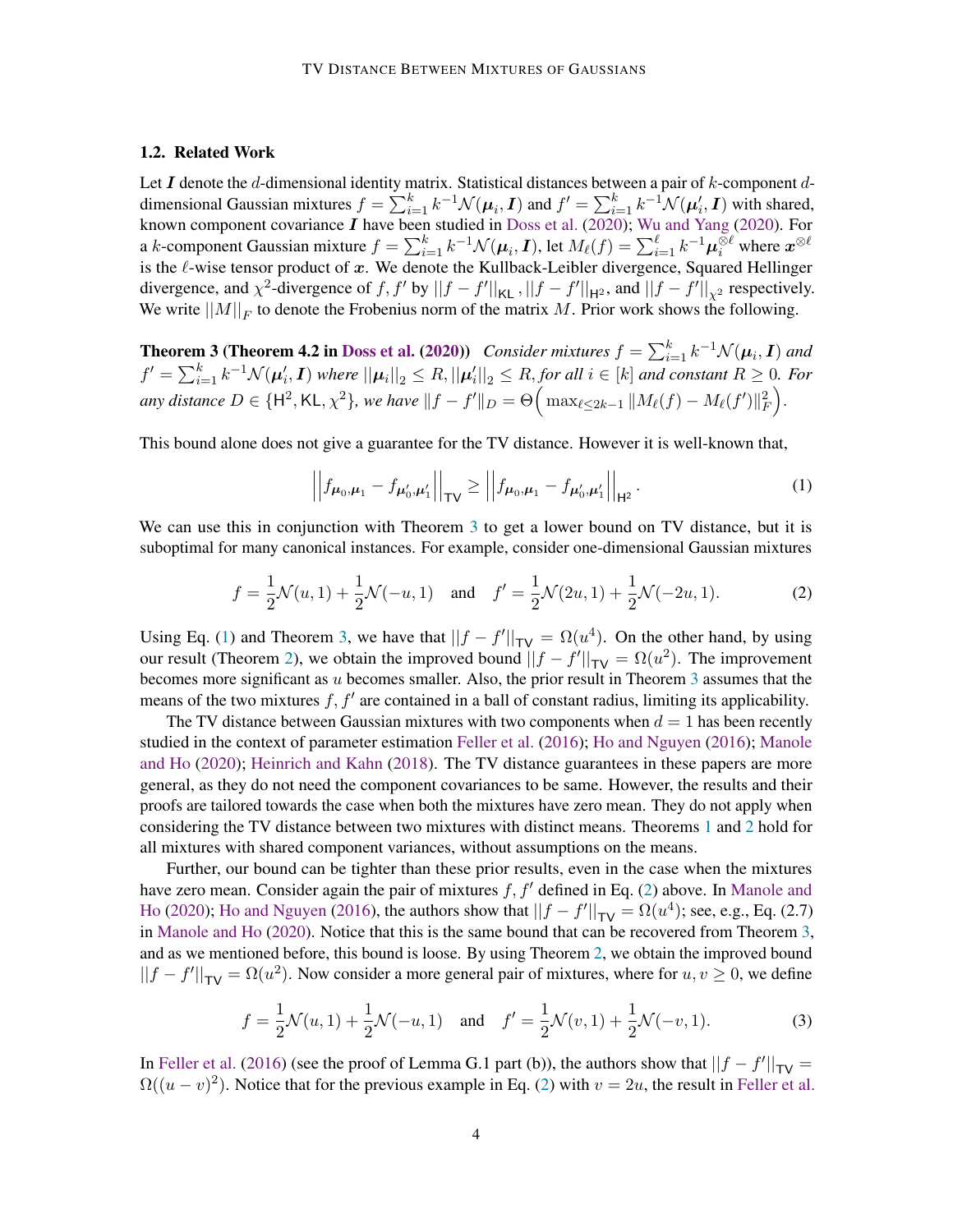#### 1.2. Related Work

Let I denote the d-dimensional identity matrix. Statistical distances between a pair of k-component ddimensional Gaussian mixtures  $f = \sum_{i=1}^{k} k^{-1} \mathcal{N}(\mu_i, I)$  and  $f' = \sum_{i=1}^{k} k^{-1} \mathcal{N}(\mu'_i, I)$  with shared, known component covariance  $I$  have been studied in [Doss et al.](#page-14-11) [\(2020\)](#page-15-9); [Wu and Yang](#page-15-9) (2020). For a  $k$ -component Gaussian mixture  $f=\sum_{i=1}^kk^{-1}\mathcal{N}(\bm{\mu}_i,\bm{I}),$  let  $M_\ell(f)=\sum_{i=1}^\ell k^{-1}\bm{\mu}_i^{\otimes \ell}$  where  $\bm{x}^{\otimes \ell}$ is the  $\ell$ -wise tensor product of x. We denote the Kullback-Leibler divergence, Squared Hellinger divergence, and  $\chi^2$ -divergence of f, f' by  $||f - f'||_{KL}$ ,  $||f - f'||_{H^2}$ , and  $||f - f'||_{\chi^2}$  respectively. We write  $||M||_F$  to denote the Frobenius norm of the matrix M. Prior work shows the following.

<span id="page-3-0"></span>**Theorem 3 (Theorem 4.2 in [Doss et al.](#page-14-11) [\(2020\)](#page-14-11))** *Consider mixtures*  $f = \sum_{i=1}^{k} k^{-1} \mathcal{N}(\mu_i, I)$  and  $f' = \sum_{i=1}^k k^{-1} \mathcal{N}(\boldsymbol{\mu}'_i, \boldsymbol{I})$  where  $||\boldsymbol{\mu}_i||_2 \leq R$ ,  $||\boldsymbol{\mu}'_i||_2 \leq R$ , for all  $i \in [k]$  and constant  $R \geq 0$ . For any distance  $D \in \{\mathsf{H}^2,\mathsf{KL},\chi^2\}$ , we have  $\|f - f'\|_D = \Theta\Big(\max_{\ell \leq 2k-1} \|M_\ell(f) - M_\ell(f')\|_F^2\Big).$ 

This bound alone does not give a guarantee for the TV distance. However it is well-known that,

<span id="page-3-2"></span><span id="page-3-1"></span>
$$
\left| \left| f_{\mu_0, \mu_1} - f_{\mu'_0, \mu'_1} \right| \right|_{\text{TV}} \ge \left| \left| f_{\mu_0, \mu_1} - f_{\mu'_0, \mu'_1} \right| \right|_{\text{H}^2} . \tag{1}
$$

We can use this in conjunction with Theorem [3](#page-3-0) to get a lower bound on TV distance, but it is suboptimal for many canonical instances. For example, consider one-dimensional Gaussian mixtures

$$
f = \frac{1}{2}\mathcal{N}(u, 1) + \frac{1}{2}\mathcal{N}(-u, 1) \quad \text{and} \quad f' = \frac{1}{2}\mathcal{N}(2u, 1) + \frac{1}{2}\mathcal{N}(-2u, 1). \tag{2}
$$

Using Eq. [\(1\)](#page-3-1) and Theorem [3,](#page-3-0) we have that  $||f - f'||_{TV} = \Omega(u^4)$ . On the other hand, by using our result (Theorem [2\)](#page-2-1), we obtain the improved bound  $||f - f'||_{TV} = \Omega(u^2)$ . The improvement becomes more significant as  $u$  becomes smaller. Also, the prior result in Theorem [3](#page-3-0) assumes that the means of the two mixtures  $f, f'$  are contained in a ball of constant radius, limiting its applicability.

The TV distance between Gaussian mixtures with two components when  $d = 1$  has been recently studied in the context of parameter estimation [Feller et al.](#page-14-12) [\(2016\)](#page-14-12); [Ho and Nguyen](#page-14-13) [\(2016\)](#page-14-13); [Manole](#page-15-14) [and Ho](#page-15-14) [\(2020\)](#page-15-14); [Heinrich and Kahn](#page-14-14) [\(2018\)](#page-14-14). The TV distance guarantees in these papers are more general, as they do not need the component covariances to be same. However, the results and their proofs are tailored towards the case when both the mixtures have zero mean. They do not apply when considering the TV distance between two mixtures with distinct means. Theorems [1](#page-2-0) and [2](#page-2-1) hold for all mixtures with shared component variances, without assumptions on the means.

Further, our bound can be tighter than these prior results, even in the case when the mixtures have zero mean. Consider again the pair of mixtures  $f, f'$  defined in Eq. [\(2\)](#page-3-2) above. In [Manole and](#page-15-14) [Ho](#page-15-14) [\(2020\)](#page-15-14); [Ho and Nguyen](#page-14-13) [\(2016\)](#page-14-13), the authors show that  $||f - f'||_{TV} = \Omega(u^4)$ ; see, e.g., Eq. (2.7) in [Manole and Ho](#page-15-14) [\(2020\)](#page-15-14). Notice that this is the same bound that can be recovered from Theorem [3,](#page-3-0) and as we mentioned before, this bound is loose. By using Theorem [2,](#page-2-1) we obtain the improved bound  $||f - f'||_{TV} = \Omega(u^2)$ . Now consider a more general pair of mixtures, where for  $u, v \ge 0$ , we define

$$
f = \frac{1}{2}\mathcal{N}(u, 1) + \frac{1}{2}\mathcal{N}(-u, 1) \quad \text{and} \quad f' = \frac{1}{2}\mathcal{N}(v, 1) + \frac{1}{2}\mathcal{N}(-v, 1). \tag{3}
$$

In [Feller et al.](#page-14-12) [\(2016\)](#page-14-12) (see the proof of Lemma G.1 part (b)), the authors show that  $||f - f'||_{TV} =$  $\Omega((u-v)^2)$ . Notice that for the previous example in Eq. [\(2\)](#page-3-2) with  $v=2u$ , the result in [Feller et al.](#page-14-12)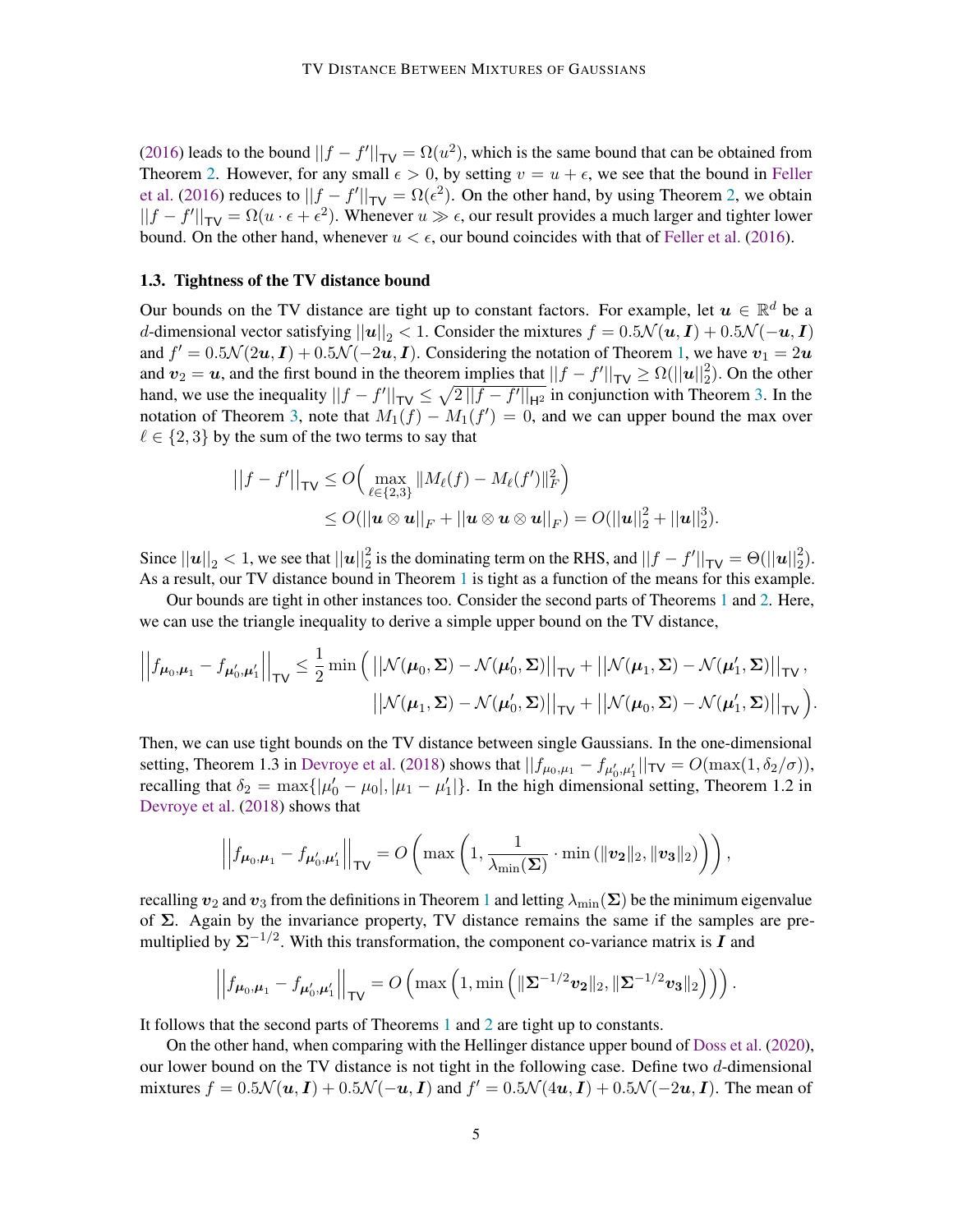[\(2016\)](#page-14-12) leads to the bound  $||f - f'||_{TV} = \Omega(u^2)$ , which is the same bound that can be obtained from Theorem [2.](#page-2-1) However, for any small  $\epsilon > 0$ , by setting  $v = u + \epsilon$ , we see that the bound in [Feller](#page-14-12) [et al.](#page-14-12) [\(2016\)](#page-14-12) reduces to  $||f - f'||_{TV} = \Omega(\epsilon^2)$ . On the other hand, by using Theorem [2,](#page-2-1) we obtain  $||f - f'||_{TV} = \Omega(u \cdot \epsilon + \epsilon^2)$ . Whenever  $u \gg \epsilon$ , our result provides a much larger and tighter lower bound. On the other hand, whenever  $u < \epsilon$ , our bound coincides with that of [Feller et al.](#page-14-12) [\(2016\)](#page-14-12).

#### <span id="page-4-0"></span>1.3. Tightness of the TV distance bound

Our bounds on the TV distance are tight up to constant factors. For example, let  $u \in \mathbb{R}^d$  be a d-dimensional vector satisfying  $||u||_2 < 1$ . Consider the mixtures  $f = 0.5\mathcal{N}(u, I) + 0.5\mathcal{N}(-u, I)$ and  $f' = 0.5\mathcal{N}(2u, I) + 0.5\mathcal{N}(-2u, I)$ . Considering the notation of Theorem [1,](#page-2-0) we have  $v_1 = 2u$ and  $v_2 = u$ , and the first bound in the theorem implies that  $||f - f'||_{TV} \ge \Omega(||u||_2^2)$ . On the other hand, we use the inequality  $||f - f'||_{TV} \le \sqrt{2||f - f'||_{H^2}}$  in conjunction with Theorem [3.](#page-3-0) In the notation of Theorem [3,](#page-3-0) note that  $M_1(f) - M_1(f') = 0$ , and we can upper bound the max over  $\ell \in \{2, 3\}$  by the sum of the two terms to say that

$$
||f - f'||_{\mathsf{TV}} \le O\Big(\max_{\ell \in \{2,3\}} ||M_{\ell}(f) - M_{\ell}(f')||_F^2\Big) \le O(||\mathbf{u} \otimes \mathbf{u}||_F + ||\mathbf{u} \otimes \mathbf{u} \otimes \mathbf{u}||_F) = O(||\mathbf{u}||_2^2 + ||\mathbf{u}||_2^3).
$$

Since  $||u||_2 < 1$ , we see that  $||u||_2^2$  is the dominating term on the RHS, and  $||f - f'||_{\text{TV}} = \Theta(||u||_2^2)$ . As a result, our TV distance bound in Theorem [1](#page-2-0) is tight as a function of the means for this example.

Our bounds are tight in other instances too. Consider the second parts of Theorems [1](#page-2-0) and [2.](#page-2-1) Here, we can use the triangle inequality to derive a simple upper bound on the TV distance,

$$
\left|\left|f_{\boldsymbol{\mu}_0,\boldsymbol{\mu}_1} - f_{\boldsymbol{\mu}_0',\boldsymbol{\mu}_1'}\right|\right|_{\sf{TV}} \leq \frac{1}{2} \min\left(\left|\left|\mathcal{N}(\boldsymbol{\mu}_0,\boldsymbol{\Sigma}) - \mathcal{N}(\boldsymbol{\mu}_0',\boldsymbol{\Sigma})\right|\right|_{\sf{TV}} + \left|\left|\mathcal{N}(\boldsymbol{\mu}_1,\boldsymbol{\Sigma}) - \mathcal{N}(\boldsymbol{\mu}_1',\boldsymbol{\Sigma})\right|\right|_{\sf{TV}},\right.\right.
$$

$$
\left|\left|\mathcal{N}(\boldsymbol{\mu}_1,\boldsymbol{\Sigma}) - \mathcal{N}(\boldsymbol{\mu}_0',\boldsymbol{\Sigma})\right|\right|_{\sf{TV}} + \left|\left|\mathcal{N}(\boldsymbol{\mu}_0,\boldsymbol{\Sigma}) - \mathcal{N}(\boldsymbol{\mu}_1',\boldsymbol{\Sigma})\right|\right|_{\sf{TV}}\right).
$$

Then, we can use tight bounds on the TV distance between single Gaussians. In the one-dimensional setting, Theorem 1.3 in [Devroye et al.](#page-14-4) [\(2018\)](#page-14-4) shows that  $||f_{\mu_0,\mu_1} - f_{\mu'_0,\mu'_1}||_{\mathsf{TV}} = O(\max(1, \delta_2/\sigma)),$ recalling that  $\delta_2 = \max\{|\mu'_0 - \mu_0|, |\mu_1 - \mu'_1|\}$ . In the high dimensional setting, Theorem 1.2 in [Devroye et al.](#page-14-4) [\(2018\)](#page-14-4) shows that

$$
\left|\left|f_{\mu_0,\mu_1} - f_{\mu'_0,\mu'_1}\right|\right|_{\sf{TV}} = O\left(\max\left(1, \frac{1}{\lambda_{\min}(\boldsymbol{\Sigma})} \cdot \min\left(\|\boldsymbol{v_2}\|_2, \|\boldsymbol{v_3}\|_2\right)\right)\right),\right\}
$$

recalling  $v_2$  and  $v_3$  from the definitions in Theorem [1](#page-2-0) and letting  $\lambda_{\min}(\Sigma)$  be the minimum eigenvalue of Σ. Again by the invariance property, TV distance remains the same if the samples are premultiplied by  $\Sigma^{-1/2}$ . With this transformation, the component co-variance matrix is  $I$  and

$$
\left|\left|f_{\boldsymbol{\mu}_0,\boldsymbol{\mu}_1} - f_{\boldsymbol{\mu}_0',\boldsymbol{\mu}_1'}\right|\right|_{\sf TV} = O\left(\max\left(1,\min\left(\|\boldsymbol{\Sigma}^{-1/2}v_{\boldsymbol{2}}\|_2, \|\boldsymbol{\Sigma}^{-1/2}v_{\boldsymbol{3}}\|_2\right)\right)\right).
$$

It follows that the second parts of Theorems [1](#page-2-0) and [2](#page-2-1) are tight up to constants.

On the other hand, when comparing with the Hellinger distance upper bound of [Doss et al.](#page-14-11) [\(2020\)](#page-14-11), our lower bound on the TV distance is not tight in the following case. Define two d-dimensional mixtures  $f = 0.5\mathcal{N}(u, I) + 0.5\mathcal{N}(-u, I)$  and  $f' = 0.5\mathcal{N}(4u, I) + 0.5\mathcal{N}(-2u, I)$ . The mean of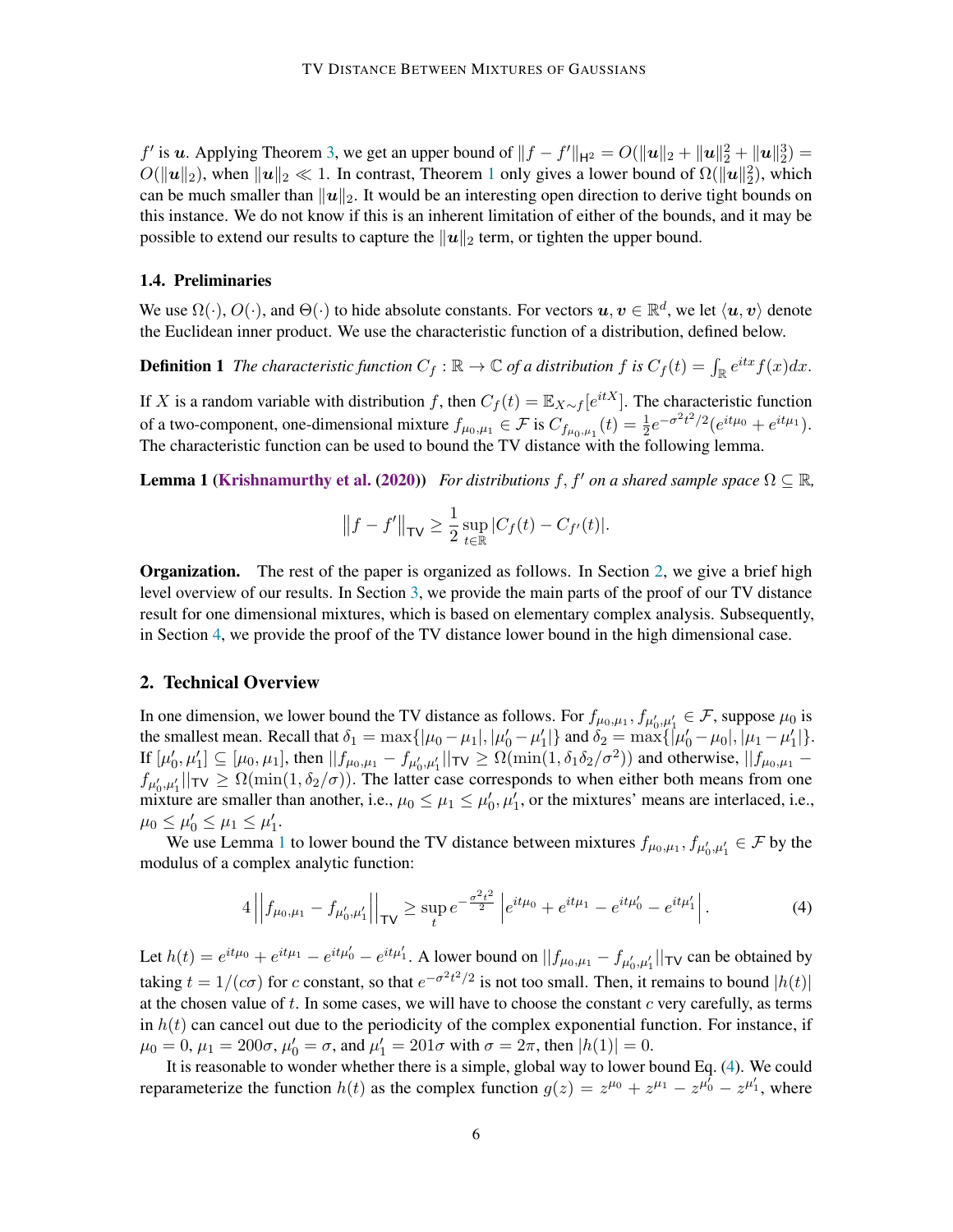*f'* is *u*. Applying Theorem [3,](#page-3-0) we get an upper bound of  $||f - f'||_{H^2} = O(||u||_2 + ||u||_2^2 + ||u||_2^3) =$  $O(\|\boldsymbol{u}\|_2)$ , when  $\|\boldsymbol{u}\|_2 \ll 1$  $\|\boldsymbol{u}\|_2 \ll 1$ . In contrast, Theorem 1 only gives a lower bound of  $\Omega(\|\boldsymbol{u}\|_2^2)$ , which can be much smaller than  $||u||_2$ . It would be an interesting open direction to derive tight bounds on this instance. We do not know if this is an inherent limitation of either of the bounds, and it may be possible to extend our results to capture the  $||u||_2$  term, or tighten the upper bound.

#### 1.4. Preliminaries

We use  $\Omega(\cdot)$ ,  $O(\cdot)$ , and  $\Theta(\cdot)$  to hide absolute constants. For vectors  $u, v \in \mathbb{R}^d$ , we let  $\langle u, v \rangle$  denote the Euclidean inner product. We use the characteristic function of a distribution, defined below.

**Definition 1** The characteristic function  $C_f : \mathbb{R} \to \mathbb{C}$  of a distribution f is  $C_f(t) = \int_{\mathbb{R}} e^{itx} f(x) dx$ .

If X is a random variable with distribution f, then  $C_f(t) = \mathbb{E}_{X \sim f}[e^{itX}]$ . The characteristic function of a two-component, one-dimensional mixture  $f_{\mu_0,\mu_1} \in \mathcal{F}$  is  $C_{f_{\mu_0,\mu_1}}(t) = \frac{1}{2} e^{-\sigma^2 t^2/2} (e^{it\mu_0} + e^{it\mu_1}).$ The characteristic function can be used to bound the TV distance with the following lemma.

**Lemma 1 [\(Krishnamurthy et al.](#page-15-13) [\(2020\)](#page-15-13))** *For distributions* f, f' on a shared sample space  $\Omega \subseteq \mathbb{R}$ ,

<span id="page-5-1"></span>
$$
||f - f'||_{\mathsf{TV}} \ge \frac{1}{2} \sup_{t \in \mathbb{R}} |C_f(t) - C_{f'}(t)|.
$$

**Organization.** The rest of the paper is organized as follows. In Section [2,](#page-5-0) we give a brief high level overview of our results. In Section [3,](#page-6-0) we provide the main parts of the proof of our TV distance result for one dimensional mixtures, which is based on elementary complex analysis. Subsequently, in Section [4,](#page-9-0) we provide the proof of the TV distance lower bound in the high dimensional case.

# <span id="page-5-0"></span>2. Technical Overview

In one dimension, we lower bound the TV distance as follows. For  $f_{\mu_0,\mu_1}, f_{\mu'_0,\mu'_1} \in \mathcal{F}$ , suppose  $\mu_0$  is the smallest mean. Recall that  $\delta_1 = \max\{| \mu_0 - \mu_1 |, |\mu_0' - \mu_1' |\}$  and  $\delta_2 = \max\{| \mu_0' - \mu_0 |, |\mu_1 - \mu_1' |\}.$ If  $[\mu'_0, \mu'_1] \subseteq [\mu_0, \mu_1]$ , then  $||f_{\mu_0, \mu_1} - f_{\mu'_0, \mu'_1}||_{\mathsf{TV}} \ge \Omega(\min(1, \delta_1 \delta_2 / \sigma^2))$  and otherwise,  $||f_{\mu_0, \mu_1} - f_{\mu'_0, \mu'_1}||_{\mathsf{TV}}$  $f_{\mu'_0,\mu'_1}$   $\vert \vert_{\text{TV}} \geq \Omega(\min(1,\delta_2/\sigma))$ . The latter case corresponds to when either both means from one mixture are smaller than another, i.e.,  $\mu_0 \leq \mu_1 \leq \mu'_0, \mu'_1$ , or the mixtures' means are interlaced, i.e.,  $\mu_0 \le \mu'_0 \le \mu_1 \le \mu'_1.$ 

We use Lemma [1](#page-5-1) to lower bound the TV distance between mixtures  $f_{\mu_0,\mu_1}, f_{\mu'_0,\mu'_1} \in \mathcal{F}$  by the modulus of a complex analytic function:

<span id="page-5-2"></span>
$$
4||f_{\mu_0,\mu_1} - f_{\mu'_0,\mu'_1}||_{\mathsf{TV}} \ge \sup_t e^{-\frac{\sigma^2 t^2}{2}} \left| e^{it\mu_0} + e^{it\mu_1} - e^{it\mu'_0} - e^{it\mu'_1} \right|.
$$
 (4)

Let  $h(t) = e^{it\mu_0} + e^{it\mu_1} - e^{it\mu_0'} - e^{it\mu_1'}$ . A lower bound on  $||f_{\mu_0,\mu_1} - f_{\mu_0',\mu_1'}||$   $\forall$  can be obtained by taking  $t = 1/(c\sigma)$  for c constant, so that  $e^{-\sigma^2 t^2/2}$  is not too small. Then, it remains to bound  $|h(t)|$ at the chosen value of  $t$ . In some cases, we will have to choose the constant  $c$  very carefully, as terms in  $h(t)$  can cancel out due to the periodicity of the complex exponential function. For instance, if  $\mu_0 = 0, \mu_1 = 200\sigma, \mu'_0 = \sigma$ , and  $\mu'_1 = 201\sigma$  with  $\sigma = 2\pi$ , then  $|h(1)| = 0$ .

It is reasonable to wonder whether there is a simple, global way to lower bound Eq. [\(4\)](#page-5-2). We could reparameterize the function  $h(t)$  as the complex function  $g(z) = z^{\mu_0} + z^{\mu_1} - z^{\mu_0} - z^{\mu_1}$ , where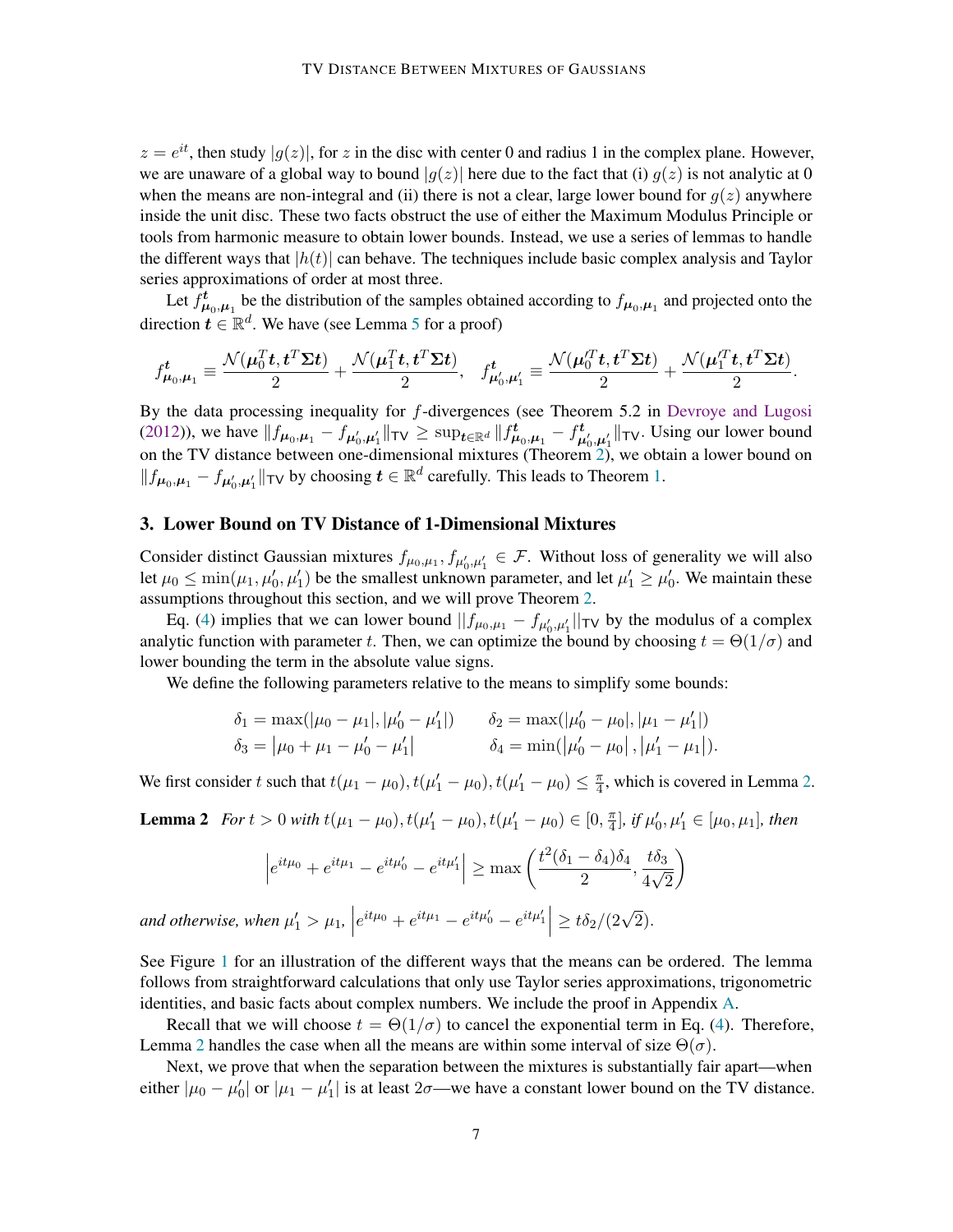$z = e^{it}$ , then study  $|g(z)|$ , for z in the disc with center 0 and radius 1 in the complex plane. However, we are unaware of a global way to bound  $|q(z)|$  here due to the fact that (i)  $q(z)$  is not analytic at 0 when the means are non-integral and (ii) there is not a clear, large lower bound for  $g(z)$  anywhere inside the unit disc. These two facts obstruct the use of either the Maximum Modulus Principle or tools from harmonic measure to obtain lower bounds. Instead, we use a series of lemmas to handle the different ways that  $|h(t)|$  can behave. The techniques include basic complex analysis and Taylor series approximations of order at most three.

Let  $f^t_{\mu_0,\mu_1}$  be the distribution of the samples obtained according to  $f_{\mu_0,\mu_1}$  and projected onto the direction  $t \in \mathbb{R}^d$ . We have (see Lemma [5](#page-9-1) for a proof)

$$
f_{\mu_0,\mu_1}^t \equiv \frac{\mathcal{N}(\mu_0^T t,t^T \Sigma t)}{2} + \frac{\mathcal{N}(\mu_1^T t,t^T \Sigma t)}{2}, \quad f_{\mu_0',\mu_1'}^t \equiv \frac{\mathcal{N}(\mu_0'^T t,t^T \Sigma t)}{2} + \frac{\mathcal{N}(\mu_1'^T t,t^T \Sigma t)}{2}.
$$

By the data processing inequality for  $f$ -divergences (see Theorem 5.2 in [Devroye and Lugosi](#page-14-2) [\(2012\)](#page-14-2)), we have  $||f_{\mu_0,\mu_1} - f_{\mu'_0,\mu'_1}||_{\text{TV}} \ge \sup_{t \in \mathbb{R}^d} ||f_{\mu_0,\mu_1}^t - f_{\mu'_0,\mu'_1}^t||_{\text{TV}}$ . Using our lower bound on the TV distance between one-dimensional mixtures (Theorem [2\)](#page-2-1), we obtain a lower bound on  $||f_{\mu_0,\mu_1} - f_{\mu'_0,\mu'_1}||$  T $\vee$  by choosing  $t \in \mathbb{R}^d$  carefully. This leads to Theorem [1.](#page-2-0)

# <span id="page-6-0"></span>3. Lower Bound on TV Distance of 1-Dimensional Mixtures

Consider distinct Gaussian mixtures  $f_{\mu_0,\mu_1}, f_{\mu'_0,\mu'_1} \in \mathcal{F}$ . Without loss of generality we will also let  $\mu_0 \le \min(\mu_1, \mu'_0, \mu'_1)$  be the smallest unknown parameter, and let  $\mu'_1 \ge \mu'_0$ . We maintain these assumptions throughout this section, and we will prove Theorem [2.](#page-2-1)

Eq. [\(4\)](#page-5-2) implies that we can lower bound  $||f_{\mu_0,\mu_1} - f_{\mu'_0,\mu'_1}||_{TV}$  by the modulus of a complex analytic function with parameter t. Then, we can optimize the bound by choosing  $t = \Theta(1/\sigma)$  and lower bounding the term in the absolute value signs.

We define the following parameters relative to the means to simplify some bounds:

$$
\delta_1 = \max(|\mu_0 - \mu_1|, |\mu'_0 - \mu'_1|) \qquad \delta_2 = \max(|\mu'_0 - \mu_0|, |\mu_1 - \mu'_1|)
$$
  

$$
\delta_3 = |\mu_0 + \mu_1 - \mu'_0 - \mu'_1| \qquad \qquad \delta_4 = \min(|\mu'_0 - \mu_0|, |\mu'_1 - \mu_1|).
$$

We first consider t such that  $t(\mu_1 - \mu_0)$ ,  $t(\mu'_1 - \mu_0)$ ,  $t(\mu'_1 - \mu_0) \leq \frac{\pi}{4}$  $\frac{\pi}{4}$ , which is covered in Lemma [2.](#page-6-1)

<span id="page-6-1"></span>**Lemma 2** *For*  $t > 0$  *with*  $t(\mu_1 - \mu_0), t(\mu_1' - \mu_0), t(\mu_1' - \mu_0) \in [0, \frac{\pi}{4}]$  $\frac{\pi}{4}$ ], if  $\mu'_0, \mu'_1 \in [\mu_0, \mu_1]$ , then

$$
\left| e^{it\mu_0} + e^{it\mu_1} - e^{it\mu'_0} - e^{it\mu'_1} \right| \ge \max\left( \frac{t^2 (\delta_1 - \delta_4) \delta_4}{2}, \frac{t \delta_3}{4\sqrt{2}} \right)
$$

and otherwise, when  $\mu'_1 > \mu_1$ ,  $\Big|$  $e^{it\mu_0} + e^{it\mu_1} - e^{it\mu'_0} - e^{it\mu'_1}$  $\geq t\delta_2/(2\sqrt{2})$ 2).

See Figure [1](#page-7-0) for an illustration of the different ways that the means can be ordered. The lemma follows from straightforward calculations that only use Taylor series approximations, trigonometric identities, and basic facts about complex numbers. We include the proof in Appendix [A.](#page-16-0)

Recall that we will choose  $t = \Theta(1/\sigma)$  to cancel the exponential term in Eq. [\(4\)](#page-5-2). Therefore, Lemma [2](#page-6-1) handles the case when all the means are within some interval of size  $\Theta(\sigma)$ .

Next, we prove that when the separation between the mixtures is substantially fair apart—when either  $|\mu_0 - \mu'_0|$  or  $|\mu_1 - \mu'_1|$  is at least  $2\sigma$ —we have a constant lower bound on the TV distance.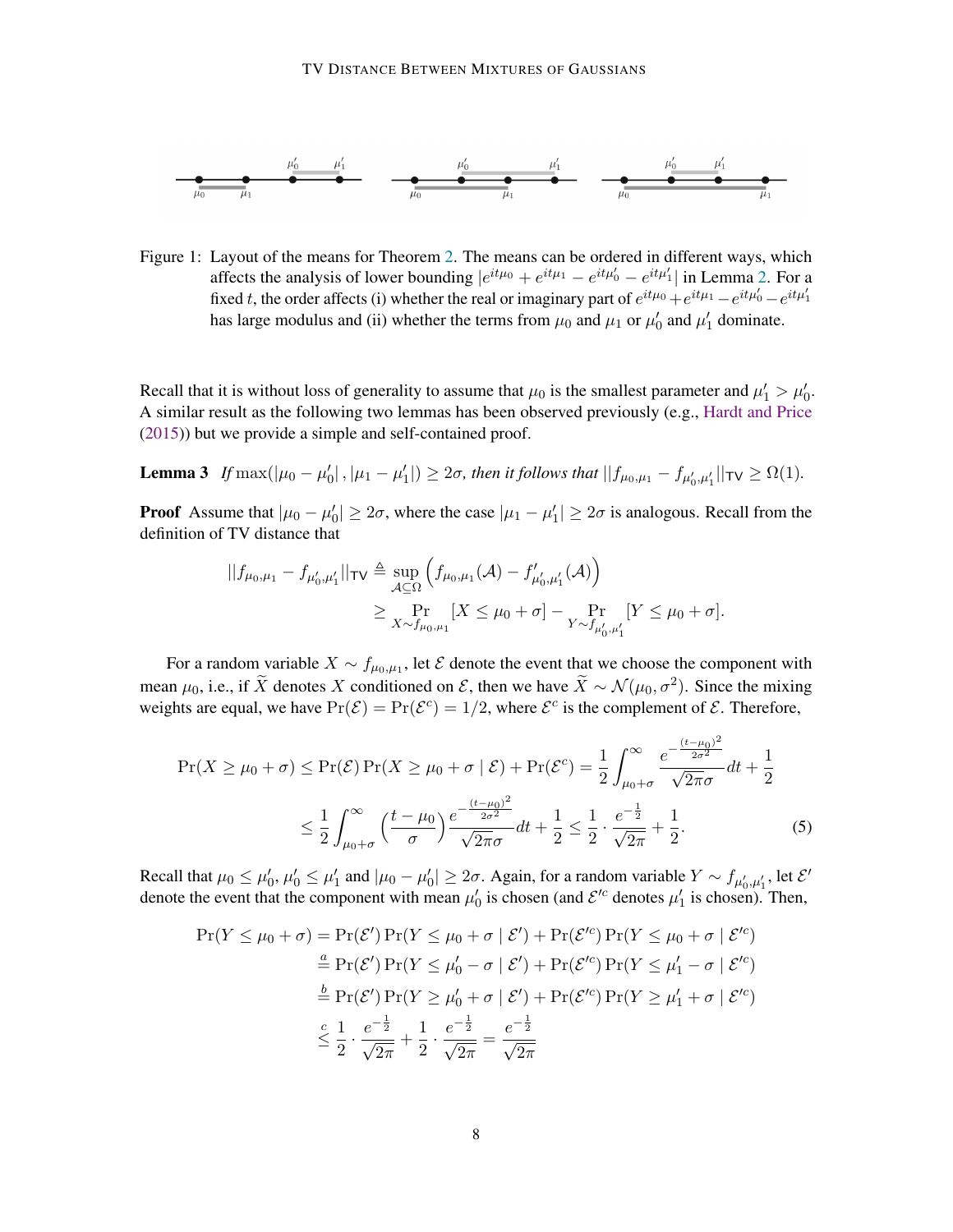<span id="page-7-0"></span>

Figure 1: Layout of the means for Theorem [2.](#page-2-1) The means can be ordered in different ways, which affects the analysis of lower bounding  $|e^{it\mu_0} + e^{it\mu_1} - e^{it\mu_0'} - e^{it\mu_1'}|$  in Lemma [2.](#page-6-1) For a fixed t, the order affects (i) whether the real or imaginary part of  $e^{it\mu_0} + e^{it\mu_1} - e^{it\mu_0'} - e^{it\mu_1'}$ has large modulus and (ii) whether the terms from  $\mu_0$  and  $\mu_1$  or  $\mu'_0$  and  $\mu'_1$  dominate.

Recall that it is without loss of generality to assume that  $\mu_0$  is the smallest parameter and  $\mu'_1 > \mu'_0$ . A similar result as the following two lemmas has been observed previously (e.g., [Hardt and Price](#page-14-15) [\(2015\)](#page-14-15)) but we provide a simple and self-contained proof.

<span id="page-7-2"></span>**Lemma 3** If  $\max(|\mu_0 - \mu'_0|, |\mu_1 - \mu'_1|) \ge 2\sigma$ , then it follows that  $||f_{\mu_0, \mu_1} - f_{\mu'_0, \mu'_1}||_{\mathsf{TV}} \ge \Omega(1)$ .

**Proof** Assume that  $|\mu_0 - \mu'_0| \ge 2\sigma$ , where the case  $|\mu_1 - \mu'_1| \ge 2\sigma$  is analogous. Recall from the definition of TV distance that

$$
||f_{\mu_0,\mu_1} - f_{\mu'_0,\mu'_1}||_{\mathsf{TV}} \triangleq \sup_{\mathcal{A} \subseteq \Omega} \left( f_{\mu_0,\mu_1}(\mathcal{A}) - f'_{\mu'_0,\mu'_1}(\mathcal{A}) \right)
$$
  

$$
\geq \Pr_{X \sim f_{\mu_0,\mu_1}} [X \leq \mu_0 + \sigma] - \Pr_{Y \sim f_{\mu'_0,\mu'_1}} [Y \leq \mu_0 + \sigma].
$$

For a random variable  $X \sim f_{\mu_0,\mu_1}$ , let  $\mathcal E$  denote the event that we choose the component with mean  $\mu_0$ , i.e., if  $\widetilde{X}$  denotes X conditioned on E, then we have  $\widetilde{X} \sim \mathcal{N}(\mu_0, \sigma^2)$ . Since the mixing weights are equal, we have  $Pr(\mathcal{E}) = Pr(\mathcal{E}^c) = 1/2$ , where  $\mathcal{E}^c$  is the complement of  $\mathcal{E}$ . Therefore,

$$
\Pr(X \ge \mu_0 + \sigma) \le \Pr(\mathcal{E}) \Pr(X \ge \mu_0 + \sigma \mid \mathcal{E}) + \Pr(\mathcal{E}^c) = \frac{1}{2} \int_{\mu_0 + \sigma}^{\infty} \frac{e^{-\frac{(t - \mu_0)^2}{2\sigma^2}}}{\sqrt{2\pi}\sigma} dt + \frac{1}{2}
$$

$$
\le \frac{1}{2} \int_{\mu_0 + \sigma}^{\infty} \left(\frac{t - \mu_0}{\sigma}\right) \frac{e^{-\frac{(t - \mu_0)^2}{2\sigma^2}}}{\sqrt{2\pi}\sigma} dt + \frac{1}{2} \le \frac{1}{2} \cdot \frac{e^{-\frac{1}{2}}}{\sqrt{2\pi}} + \frac{1}{2}.
$$
(5)

Recall that  $\mu_0 \le \mu'_0$ ,  $\mu'_0 \le \mu'_1$  and  $|\mu_0 - \mu'_0| \ge 2\sigma$ . Again, for a random variable  $Y \sim f_{\mu'_0, \mu'_1}$ , let  $\mathcal{E}'$ denote the event that the component with mean  $\mu'_0$  is chosen (and  $\mathcal{E}'^c$  denotes  $\mu'_1$  is chosen). Then,

<span id="page-7-1"></span>
$$
\Pr(Y \le \mu_0 + \sigma) = \Pr(\mathcal{E}') \Pr(Y \le \mu_0 + \sigma \mid \mathcal{E}') + \Pr(\mathcal{E}'^c) \Pr(Y \le \mu_0 + \sigma \mid \mathcal{E}'^c)
$$
  
\n
$$
\stackrel{a}{=} \Pr(\mathcal{E}') \Pr(Y \le \mu'_0 - \sigma \mid \mathcal{E}') + \Pr(\mathcal{E}'^c) \Pr(Y \le \mu'_1 - \sigma \mid \mathcal{E}'^c)
$$
  
\n
$$
\stackrel{b}{=} \Pr(\mathcal{E}') \Pr(Y \ge \mu'_0 + \sigma \mid \mathcal{E}') + \Pr(\mathcal{E}'^c) \Pr(Y \ge \mu'_1 + \sigma \mid \mathcal{E}'^c)
$$
  
\n
$$
\stackrel{c}{\le} \frac{1}{2} \cdot \frac{e^{-\frac{1}{2}}}{\sqrt{2\pi}} + \frac{1}{2} \cdot \frac{e^{-\frac{1}{2}}}{\sqrt{2\pi}} = \frac{e^{-\frac{1}{2}}}{\sqrt{2\pi}}
$$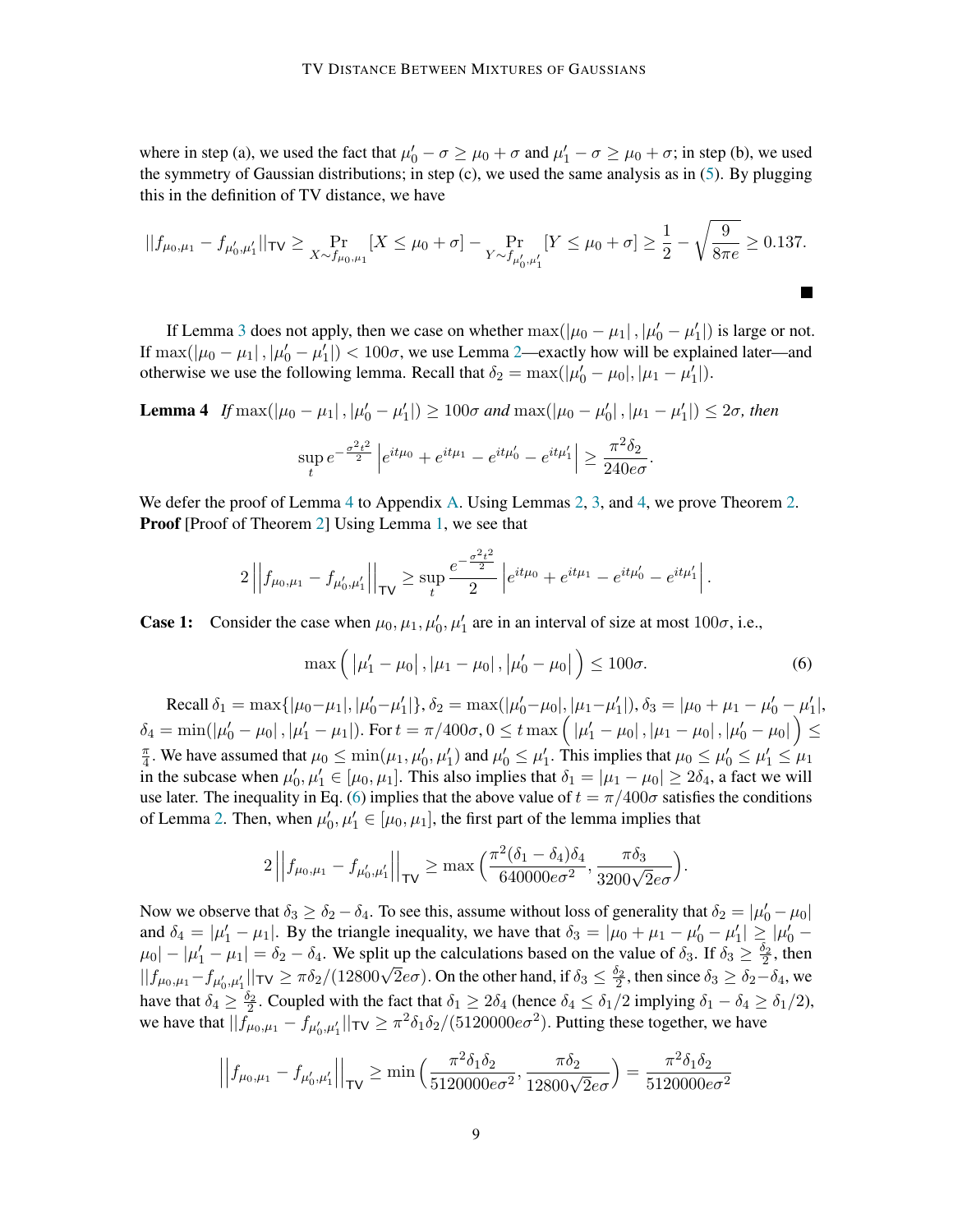where in step (a), we used the fact that  $\mu'_0 - \sigma \ge \mu_0 + \sigma$  and  $\mu'_1 - \sigma \ge \mu_0 + \sigma$ ; in step (b), we used the symmetry of Gaussian distributions; in step  $(c)$ , we used the same analysis as in  $(5)$ . By plugging this in the definition of TV distance, we have

$$
||f_{\mu_0,\mu_1} - f_{\mu'_0,\mu'_1}||_{\mathsf{TV}} \ge \Pr_{X \sim f_{\mu_0,\mu_1}}[X \le \mu_0 + \sigma] - \Pr_{Y \sim f_{\mu'_0,\mu'_1}}[Y \le \mu_0 + \sigma] \ge \frac{1}{2} - \sqrt{\frac{9}{8\pi e}} \ge 0.137.
$$

If Lemma [3](#page-7-2) does not apply, then we case on whether  $\max(|\mu_0 - \mu_1|, |\mu'_0 - \mu'_1|)$  is large or not. If  $\max(|\mu_0 - \mu_1|, |\mu'_0 - \mu'_1|) < 100\sigma$ , we use Lemma [2—](#page-6-1)exactly how will be explained later—and otherwise we use the following lemma. Recall that  $\delta_2 = \max(|\mu'_0 - \mu_0|, |\mu_1 - \mu'_1|)$ .

<span id="page-8-0"></span>**Lemma 4** If  $\max(|\mu_0 - \mu_1|, |\mu'_0 - \mu'_1|) \ge 100\sigma$  and  $\max(|\mu_0 - \mu'_0|, |\mu_1 - \mu'_1|) \le 2\sigma$ , then

$$
\sup_{t}e^{-\frac{\sigma^2t^2}{2}}\left|e^{it\mu_0}+e^{it\mu_1}-e^{it\mu_0'}-e^{it\mu_1'}\right|\geq \frac{\pi^2\delta_2}{240e\sigma}.
$$

We defer the proof of Lemma [4](#page-8-0) to Appendix [A.](#page-16-0) Using Lemmas [2,](#page-6-1) [3,](#page-7-2) and [4,](#page-8-0) we prove Theorem [2.](#page-2-1) **Proof** [Proof of Theorem [2\]](#page-2-1) Using Lemma [1,](#page-5-1) we see that

$$
2\left|\left|f_{\mu_0,\mu_1}-f_{\mu'_0,\mu'_1}\right|\right|_{\mathsf{TV}} \geq \sup_t \frac{e^{-\frac{\sigma^2t^2}{2}}}{2}\left|e^{it\mu_0}+e^{it\mu_1}-e^{it\mu'_0}-e^{it\mu'_1}\right|.
$$

**Case 1:** Consider the case when  $\mu_0, \mu_1, \mu'_0, \mu'_1$  are in an interval of size at most  $100\sigma$ , i.e.,

<span id="page-8-1"></span>
$$
\max\left(|\mu'_1 - \mu_0|, |\mu_1 - \mu_0|, |\mu'_0 - \mu_0|\right) \le 100\sigma. \tag{6}
$$

Recall  $\delta_1 = \max\{|\mu_0 - \mu_1|, |\mu'_0 - \mu'_1|\}, \delta_2 = \max(|\mu'_0 - \mu_0|, |\mu_1 - \mu'_1|), \delta_3 = |\mu_0 + \mu_1 - \mu'_0 - \mu'_1|,$  $\delta_4=\min(|\mu_0'-\mu_0| \,, |\mu_1'-\mu_1|). \text{ For } t=\pi/400\sigma, 0 \leq t \max\Big(\left|\mu_1'-\mu_0\right|, \left|\mu_1-\mu_0\right|, \left|\mu_0'-\mu_0\right| \Big) \leq$ π  $\frac{\pi}{4}$ . We have assumed that  $\mu_0 \le \min(\mu_1, \mu'_0, \mu'_1)$  and  $\mu'_0 \le \mu'_1$ . This implies that  $\mu_0 \le \mu'_0 \le \mu'_1 \le \mu_1$ in the subcase when  $\mu'_0, \mu'_1 \in [\mu_0, \mu_1]$ . This also implies that  $\delta_1 = |\mu_1 - \mu_0| \ge 2\delta_4$ , a fact we will use later. The inequality in Eq. [\(6\)](#page-8-1) implies that the above value of  $t = \pi/400\sigma$  satisfies the conditions of Lemma [2.](#page-6-1) Then, when  $\mu'_0, \mu'_1 \in [\mu_0, \mu_1]$ , the first part of the lemma implies that

$$
2\left|\left|f_{\mu_0,\mu_1}-f_{\mu'_0,\mu'_1}\right|\right|_{\mathsf{TV}} \ge \max\left(\frac{\pi^2(\delta_1-\delta_4)\delta_4}{640000e\sigma^2},\frac{\pi\delta_3}{3200\sqrt{2}e\sigma}\right).
$$

Now we observe that  $\delta_3 \ge \delta_2 - \delta_4$ . To see this, assume without loss of generality that  $\delta_2 = |\mu'_0 - \mu_0|$ and  $\delta_4 = |\mu'_1 - \mu_1|$ . By the triangle inequality, we have that  $\delta_3 = |\mu_0 + \mu_1 - \mu'_0 - \mu'_1| \ge |\mu'_0 - \mu'_1|$  $\mu_0$  |  $- |\mu'_1 - \mu_1| = \delta_2 - \delta_4$ . We split up the calculations based on the value of  $\delta_3$ . If  $\delta_3 \ge \frac{\delta_2}{2}$ , then  $||f_{\mu_0,\mu_1} - f_{\mu'_0,\mu'_1}||_{TV} \ge \pi \delta_2/(12800\sqrt{2}e\sigma)$ . On the other hand, if  $\delta_3 \le \frac{\delta_2}{2}$ , then since  $\delta_3 \ge \delta_2 - \delta_4$ , we have that  $\delta_4 \geq \frac{\delta_2}{2}$ . Coupled with the fact that  $\delta_1 \geq 2\delta_4$  (hence  $\delta_4 \leq \delta_1/2$  implying  $\delta_1 - \delta_4 \geq \delta_1/2$ ), we have that  $||f_{\mu_0,\mu_1}^{\dagger} - f_{\mu'_0,\mu'_1}||_{\mathsf{TV}} \ge \pi^2 \delta_1 \delta_2 / (5120000 e \sigma^2)$ . Putting these together, we have

$$
\left| \left| f_{\mu_0, \mu_1} - f_{\mu'_0, \mu'_1} \right| \right|_{\mathsf{TV}} \ge \min \left( \frac{\pi^2 \delta_1 \delta_2}{5120000 e \sigma^2}, \frac{\pi \delta_2}{12800 \sqrt{2} e \sigma} \right) = \frac{\pi^2 \delta_1 \delta_2}{5120000 e \sigma^2}
$$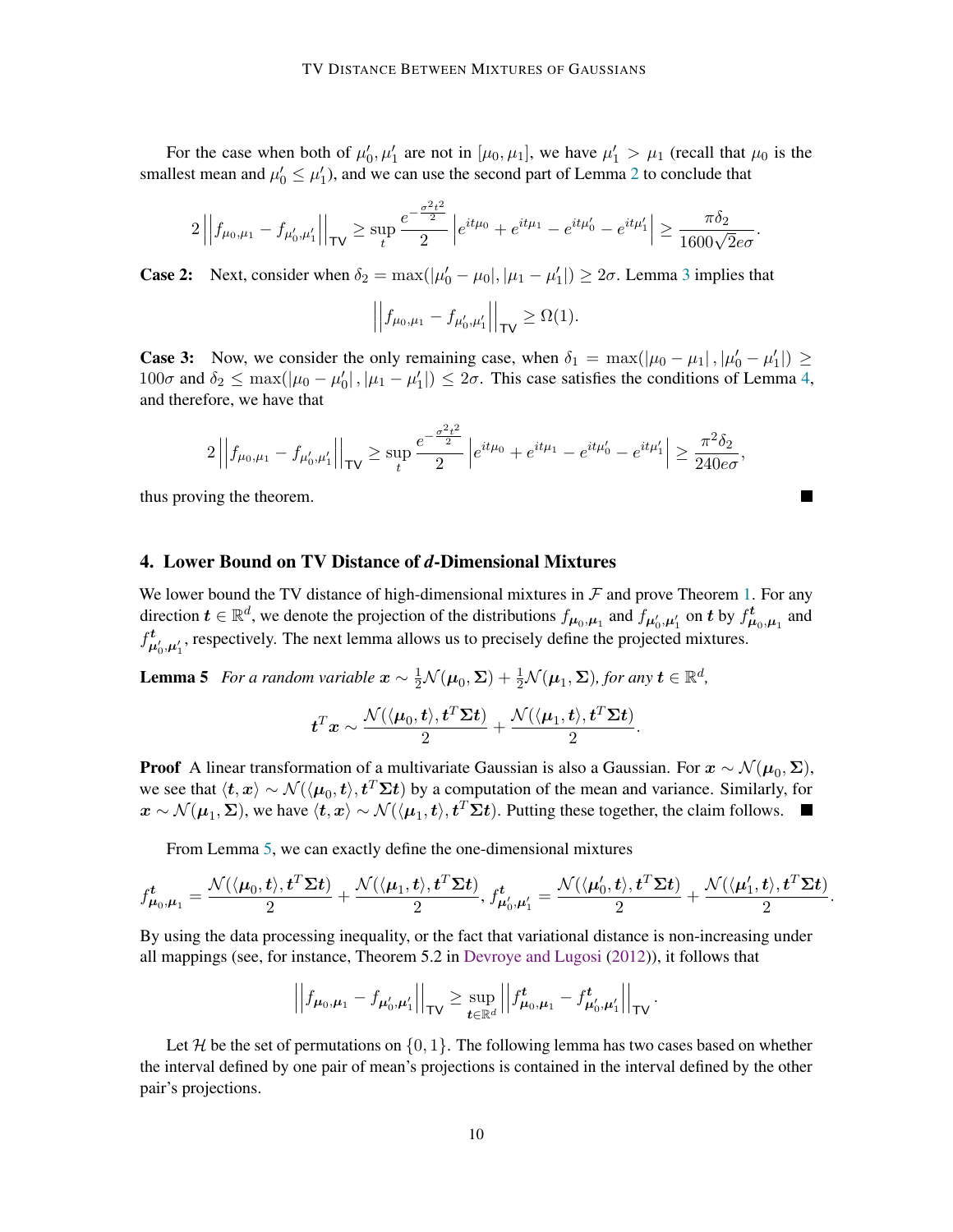For the case when both of  $\mu'_0, \mu'_1$  are not in  $[\mu_0, \mu_1]$ , we have  $\mu'_1 > \mu_1$  (recall that  $\mu_0$  is the smallest mean and  $\mu'_0 \le \mu'_1$ ), and we can use the second part of Lemma [2](#page-6-1) to conclude that

$$
2\left|\left|f_{\mu_0,\mu_1} - f_{\mu'_0,\mu'_1}\right|\right|_{\mathsf{TV}} \ge \sup_t \frac{e^{-\frac{\sigma^2t^2}{2}}}{2}\left|e^{it\mu_0} + e^{it\mu_1} - e^{it\mu'_0} - e^{it\mu'_1}\right| \ge \frac{\pi\delta_2}{1600\sqrt{2}e\sigma}.
$$

**Case 2:** Next, consider when  $\delta_2 = \max(|\mu'_0 - \mu_0|, |\mu_1 - \mu'_1|) \ge 2\sigma$ . Lemma [3](#page-7-2) implies that

$$
\left| \left| f_{\mu_0, \mu_1} - f_{\mu'_0, \mu'_1} \right| \right|_{\mathsf{TV}} \ge \Omega(1).
$$

**Case 3:** Now, we consider the only remaining case, when  $\delta_1 = \max(|\mu_0 - \mu_1|, |\mu'_0 - \mu'_1|) \ge$  $100\sigma$  and  $\delta_2 \le \max(|\mu_0 - \mu'_0|, |\mu_1 - \mu'_1|) \le 2\sigma$ . This case satisfies the conditions of Lemma [4,](#page-8-0) and therefore, we have that

$$
2\left|\left|f_{\mu_0,\mu_1} - f_{\mu'_0,\mu'_1}\right|\right|_{\mathsf{TV}} \ge \sup_t \frac{e^{-\frac{\sigma^2t^2}{2}}}{2}\left|e^{it\mu_0} + e^{it\mu_1} - e^{it\mu'_0} - e^{it\mu'_1}\right| \ge \frac{\pi^2\delta_2}{240e\sigma},
$$

thus proving the theorem.

#### <span id="page-9-0"></span>4. Lower Bound on TV Distance of *d*-Dimensional Mixtures

We lower bound the TV distance of high-dimensional mixtures in  $\mathcal F$  and prove Theorem [1.](#page-2-0) For any direction  $t \in \mathbb{R}^d$ , we denote the projection of the distributions  $f_{\mu_0,\mu_1}$  and  $f_{\mu'_0,\mu'_1}$  on t by  $f^t_{\mu_0,\mu_1}$  and  $f^{\,t}_{\mu'_0,\mu'_1}$ , respectively. The next lemma allows us to precisely define the projected mixtures.

Lemma 5 *For a random variable*  $\mathbf{x} \sim \frac{1}{2} \mathcal{N}(\boldsymbol{\mu}_0, \boldsymbol{\Sigma}) + \frac{1}{2} \mathcal{N}(\boldsymbol{\mu}_1, \boldsymbol{\Sigma})$ , for any  $\mathbf{t} \in \mathbb{R}^d$ ,

$$
\boldsymbol t^T \boldsymbol x \sim \frac{\mathcal{N}(\langle \boldsymbol \mu_0, \boldsymbol t \rangle, \boldsymbol t^T \boldsymbol \Sigma \boldsymbol t)}{2} + \frac{\mathcal{N}(\langle \boldsymbol \mu_1, \boldsymbol t \rangle, \boldsymbol t^T \boldsymbol \Sigma \boldsymbol t)}{2}.
$$

**Proof** A linear transformation of a multivariate Gaussian is also a Gaussian. For  $x \sim \mathcal{N}(\mu_0, \Sigma)$ , we see that  $\langle t, x \rangle \sim \mathcal{N}(\langle \mu_0, t \rangle, t^T \Sigma t)$  by a computation of the mean and variance. Similarly, for  $x \sim \mathcal{N}(\mu_1, \Sigma)$ , we have  $\langle t, x \rangle \sim \mathcal{N}(\langle \mu_1, t \rangle, t^T \Sigma t)$ . Putting these together, the claim follows.

From Lemma [5,](#page-9-1) we can exactly define the one-dimensional mixtures

$$
f^{\boldsymbol{t}}_{\boldsymbol{\mu}_0,\boldsymbol{\mu}_1}=\frac{\mathcal{N}(\langle \boldsymbol{\mu}_0, \boldsymbol{t} \rangle, \boldsymbol{t}^T\boldsymbol{\Sigma}\boldsymbol{t})}{2}+\frac{\mathcal{N}(\langle \boldsymbol{\mu}_1, \boldsymbol{t} \rangle, \boldsymbol{t}^T\boldsymbol{\Sigma}\boldsymbol{t})}{2}, f^{\boldsymbol{t}}_{\boldsymbol{\mu}_0',\boldsymbol{\mu}_1'}=\frac{\mathcal{N}(\langle \boldsymbol{\mu}_0', \boldsymbol{t} \rangle, \boldsymbol{t}^T\boldsymbol{\Sigma}\boldsymbol{t})}{2}+\frac{\mathcal{N}(\langle \boldsymbol{\mu}_1', \boldsymbol{t} \rangle, \boldsymbol{t}^T\boldsymbol{\Sigma}\boldsymbol{t})}{2}
$$

<span id="page-9-1"></span>.

By using the data processing inequality, or the fact that variational distance is non-increasing under all mappings (see, for instance, Theorem 5.2 in [Devroye and Lugosi](#page-14-2) [\(2012\)](#page-14-2)), it follows that

<span id="page-9-2"></span>
$$
\left| \left| f_{\mu_0,\mu_1} - f_{\mu'_0,\mu'_1} \right| \right|_{\text{TV}} \geq \sup_{t \in \mathbb{R}^d} \left| \left| f_{\mu_0,\mu_1}^t - f_{\mu'_0,\mu'_1}^t \right| \right|_{\text{TV}}.
$$

Let H be the set of permutations on  $\{0, 1\}$ . The following lemma has two cases based on whether the interval defined by one pair of mean's projections is contained in the interval defined by the other pair's projections.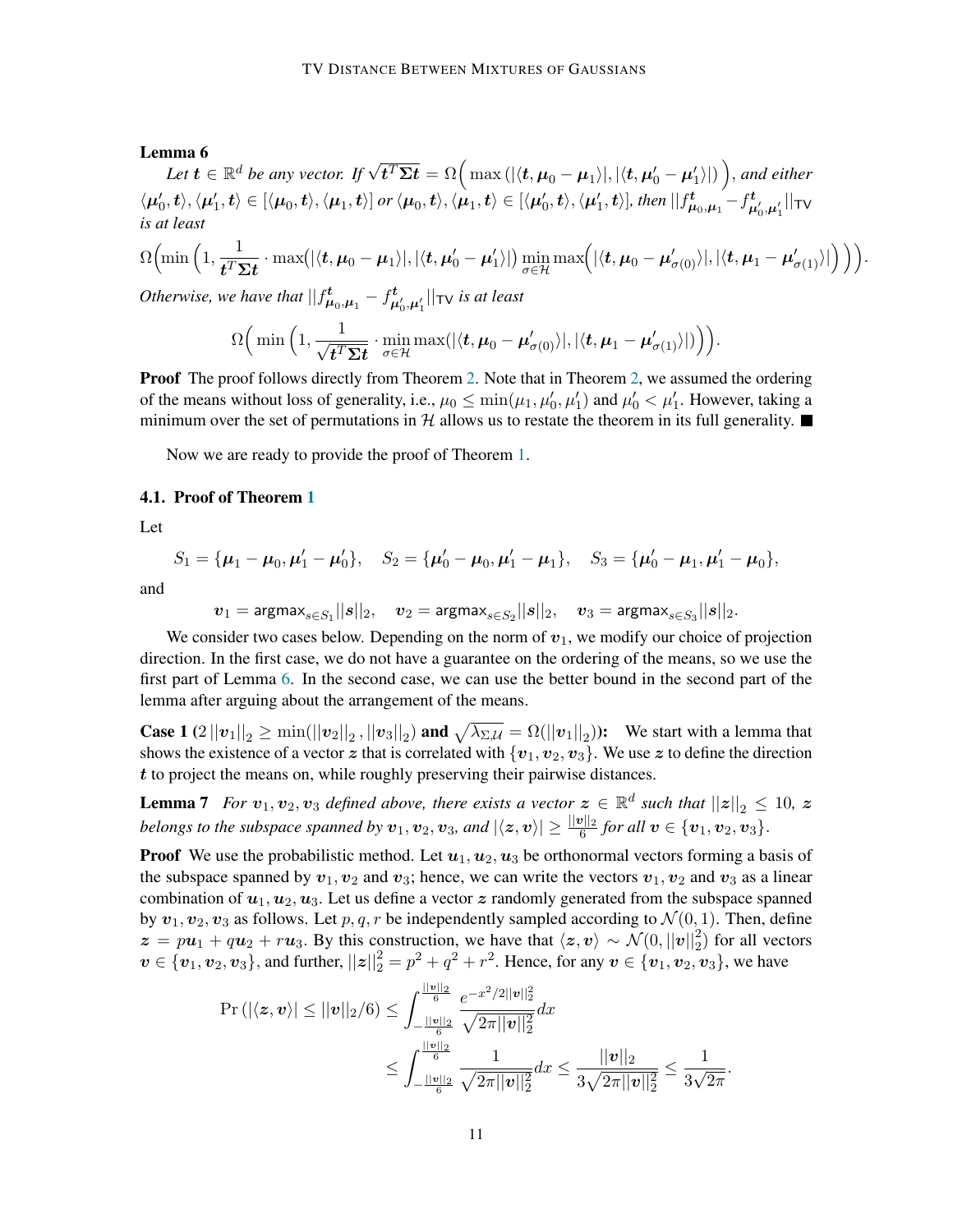#### Lemma 6

**Let**  $\bm{t} \in \mathbb{R}^d$  be any vector. If  $\sqrt{\bm{t}^T\bm{\Sigma}\bm{t}} = \Omega\Big(\max(|\langle \bm{t}, \bm{\mu}_0-\bm{\mu}_1\rangle|, |\langle \bm{t}, \bm{\mu}'_0-\bm{\mu}'_1\rangle|)\Big),$  and either  $\langle \mu_0',t\rangle, \langle \mu_1',t\rangle\in [\langle \mu_0,t\rangle, \langle \mu_1,t\rangle]$  or  $\langle \mu_0,t\rangle, \langle \mu_1,t\rangle\in [\langle \mu_0',t\rangle, \langle \mu_1',t\rangle],$  then  $||f_{\mu_0,\mu_1}^t-f_{\mu_0',\mu_1'}^t||_{\sf TV}$ *is at least*  $\Omega\left(\min\left(1,\frac{1}{\sqrt{T}\right)}\right)$  $\frac{1}{t^T\mathbf{\Sigma} \boldsymbol{t}}\cdot \max\bigl(|\langle \boldsymbol{t}, \boldsymbol{\mu}_0-\boldsymbol{\mu}_1\rangle|, |\langle \boldsymbol{t}, \boldsymbol{\mu}_0'-\boldsymbol{\mu}_1'\rangle|\bigr) \min_{\sigma\in\mathcal{H}}\max\Bigl(|\langle \boldsymbol{t}, \boldsymbol{\mu}_0-\boldsymbol{\mu}_{\sigma(0)}'\rangle|, |\langle \boldsymbol{t}, \boldsymbol{\mu}_1-\boldsymbol{\mu}_{\sigma(1)}'\rangle|\Bigr)\Bigr)\Bigr).$ *Otherwise, we have that*  $|| f^{\mathbf{t}}_{\mu_0,\mu_1} - f^{\mathbf{t}}_{\mu'_0,\mu'_1} ||_{\mathsf{TV}}$  *is at least* 

 $\Omega\left(\min\left(1,\frac{1}{\sqrt{m}}\right)\right)$  $\boldsymbol{t}^T\boldsymbol{\Sigma}\boldsymbol{t}$  $\cdot \min_{\sigma \in \mathcal{H}} \max(|\langle \boldsymbol{t}, \boldsymbol{\mu}_0 - \boldsymbol{\mu}_{\sigma(0)}' \rangle|, |\langle \boldsymbol{t}, \boldsymbol{\mu}_1 - \boldsymbol{\mu}_{\sigma(1)}' \rangle|)\Big) \Big).$ 

**Proof** The proof follows directly from Theorem [2.](#page-2-1) Note that in Theorem [2,](#page-2-1) we assumed the ordering of the means without loss of generality, i.e.,  $\mu_0 \le \min(\mu_1, \mu'_0, \mu'_1)$  and  $\mu'_0 < \mu'_1$ . However, taking a minimum over the set of permutations in H allows us to restate the theorem in its full generality.

Now we are ready to provide the proof of Theorem [1.](#page-2-0)

# 4.1. Proof of Theorem [1](#page-2-0)

Let

$$
S_1 = {\mu_1 - \mu_0, \mu'_1 - \mu'_0}, \quad S_2 = {\mu'_0 - \mu_0, \mu'_1 - \mu_1}, \quad S_3 = {\mu'_0 - \mu_1, \mu'_1 - \mu_0},
$$

and

<span id="page-10-0"></span>
$$
\boldsymbol{v}_1 = \text{argmax}_{s \in S_1} ||\boldsymbol{s}||_2, \quad \boldsymbol{v}_2 = \text{argmax}_{s \in S_2} ||\boldsymbol{s}||_2, \quad \boldsymbol{v}_3 = \text{argmax}_{s \in S_3} ||\boldsymbol{s}||_2.
$$

We consider two cases below. Depending on the norm of  $v_1$ , we modify our choice of projection direction. In the first case, we do not have a guarantee on the ordering of the means, so we use the first part of Lemma [6.](#page-9-2) In the second case, we can use the better bound in the second part of the lemma after arguing about the arrangement of the means.

**Case 1**  $(2||v_1||_2 \ge \min(||v_2||_2, ||v_3||_2)$  and  $\sqrt{\lambda_{\Sigma,\mathcal{U}}} = \Omega(||v_1||_2)$ ): We start with a lemma that shows the existence of a vector z that is correlated with  $\{v_1, v_2, v_3\}$ . We use z to define the direction t to project the means on, while roughly preserving their pairwise distances.

**Lemma 7** For  $v_1, v_2, v_3$  defined above, there exists a vector  $z \in \mathbb{R}^d$  such that  $||z||_2 \le 10$ ,  $z$ *belongs to the subspace spanned by*  $v_1, v_2, v_3$ , and  $|\langle z, v \rangle| \ge \frac{||v||_2}{6}$  for all  $v \in \{v_1, v_2, v_3\}$ .

**Proof** We use the probabilistic method. Let  $u_1, u_2, u_3$  be orthonormal vectors forming a basis of the subspace spanned by  $v_1, v_2$  and  $v_3$ ; hence, we can write the vectors  $v_1, v_2$  and  $v_3$  as a linear combination of  $u_1, u_2, u_3$ . Let us define a vector z randomly generated from the subspace spanned by  $v_1, v_2, v_3$  as follows. Let p, q, r be independently sampled according to  $\mathcal{N}(0, 1)$ . Then, define  $z = pu_1 + qu_2 + ru_3$ . By this construction, we have that  $\langle z, v \rangle \sim \mathcal{N}(0, ||v||_2^2)$  for all vectors  $v \in \{v_1, v_2, v_3\}$ , and further,  $||z||_2^2 = p^2 + q^2 + r^2$ . Hence, for any  $v \in \{v_1, v_2, v_3\}$ , we have

$$
\Pr\left(\left|\langle \mathbf{z}, \mathbf{v} \rangle\right| \le ||\mathbf{v}||_2 / 6\right) \le \int_{-\frac{||\mathbf{v}||_2}{6}}^{\frac{||\mathbf{v}||_2}{6}} \frac{e^{-x^2/2||\mathbf{v}||_2^2}}{\sqrt{2\pi ||\mathbf{v}||_2^2}} dx
$$

$$
\le \int_{-\frac{||\mathbf{v}||_2}{6}}^{\frac{||\mathbf{v}||_2}{6}} \frac{1}{\sqrt{2\pi ||\mathbf{v}||_2^2}} dx \le \frac{||\mathbf{v}||_2}{3\sqrt{2\pi ||\mathbf{v}||_2^2}} \le \frac{1}{3\sqrt{2\pi}}.
$$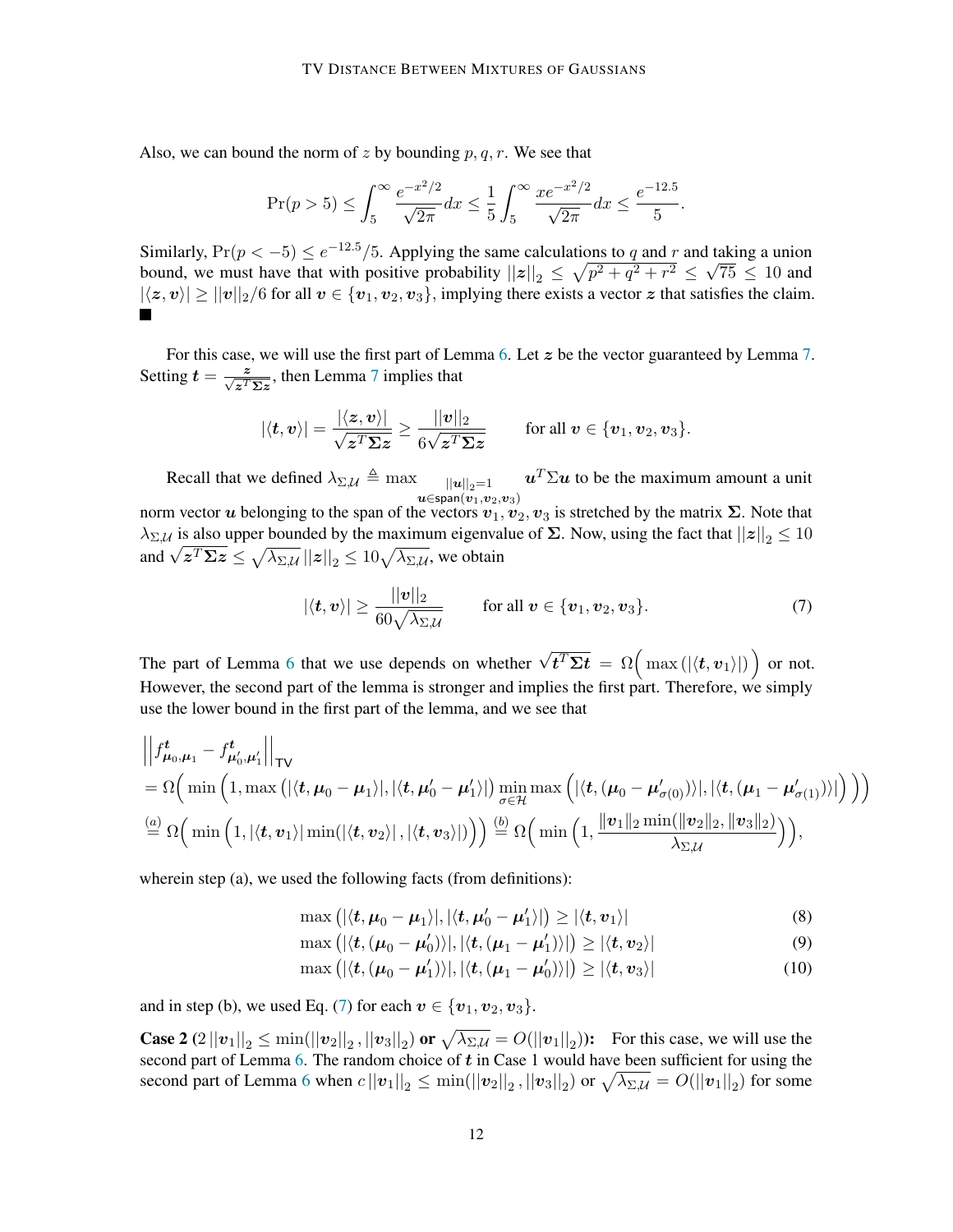Also, we can bound the norm of z by bounding  $p, q, r$ . We see that

$$
\Pr(p > 5) \le \int_5^\infty \frac{e^{-x^2/2}}{\sqrt{2\pi}} dx \le \frac{1}{5} \int_5^\infty \frac{xe^{-x^2/2}}{\sqrt{2\pi}} dx \le \frac{e^{-12.5}}{5}.
$$

Similarly,  $Pr(p < -5) \le e^{-12.5} / 5$ . Applying the same calculations to q and r and taking a union bound, we must have that with positive probability  $||z||_2 \leq \sqrt{p^2 + q^2 + r^2} \leq \sqrt{75} \leq 10$  and  $|\langle z, v \rangle| \ge ||v||_2/6$  for all  $v \in \{v_1, v_2, v_3\}$ , implying there exists a vector  $z$  that satisfies the claim.

For this case, we will use the first part of Lemma [6.](#page-9-2) Let z be the vector guaranteed by Lemma [7.](#page-10-0) Setting  $t = \frac{z}{\sqrt{z^T \Sigma z}}$ , then Lemma [7](#page-10-0) implies that

$$
|\langle \boldsymbol{t}, \boldsymbol{v} \rangle| = \frac{|\langle \boldsymbol{z}, \boldsymbol{v} \rangle|}{\sqrt{\boldsymbol{z}^T \boldsymbol{\Sigma} \boldsymbol{z}}} \geq \frac{||\boldsymbol{v}||_2}{6\sqrt{\boldsymbol{z}^T \boldsymbol{\Sigma} \boldsymbol{z}}} \qquad \text{ for all } \boldsymbol{v} \in \{\boldsymbol{v}_1, \boldsymbol{v}_2, \boldsymbol{v}_3\}.
$$

Recall that we defined  $\lambda_{\Sigma,\mathcal{U}} \triangleq \max_{\|\mathbf{u}\|_2=1}$  $u\mathfrak{c}$ span $(v_1,v_2,v_3)$  $u^T \Sigma u$  to be the maximum amount a unit

norm vector u belonging to the span of the vectors  $v_1, v_2, v_3$  is stretched by the matrix  $\Sigma$ . Note that  $\lambda_{\Sigma,\mathcal{U}}$  is also upper bounded by the maximum eigenvalue of  $\Sigma$ . Now, using the fact that  $||z||_2 \leq 10$  $\Delta \Sigma \mathcal{U}$  is also upper bounded by the maximum eigenval<br>and  $\sqrt{z^T \Sigma z} \leq \sqrt{\lambda_{\Sigma,\mathcal{U}}} ||z||_2 \leq 10 \sqrt{\lambda_{\Sigma,\mathcal{U}}}$ , we obtain

<span id="page-11-0"></span>
$$
|\langle \mathbf{t}, \mathbf{v} \rangle| \ge \frac{||\mathbf{v}||_2}{60\sqrt{\lambda_{\Sigma,\mathcal{U}}}}
$$
 for all  $\mathbf{v} \in {\mathbf{v}_1, \mathbf{v}_2, \mathbf{v}_3}$ . (7)

The part of Lemma [6](#page-9-2) that we use depends on whether  $\sqrt{t^T \Sigma t} = \Omega\left(\max\left(\left|\langle t, v_1 \rangle\right|\right)\right)$  or not. However, the second part of the lemma is stronger and implies the first part. Therefore, we simply use the lower bound in the first part of the lemma, and we see that

$$
\left\|f_{\mu_0,\mu_1}^t - f_{\mu'_0,\mu'_1}^t\right\|_{\mathsf{TV}}
$$
\n
$$
= \Omega\Big(\min\Big(1,\max\big(|\langle\boldsymbol{t},\mu_0-\mu_1\rangle|,|\langle\boldsymbol{t},\mu'_0-\mu'_1\rangle|\big)\min_{\sigma\in\mathcal{H}}\max\Big(|\langle\boldsymbol{t},(\mu_0-\mu'_{\sigma(0)})\rangle|,|\langle\boldsymbol{t},(\mu_1-\mu'_{\sigma(1)})\rangle|\Big)\Big)\Big)
$$
\n
$$
\stackrel{(a)}{=} \Omega\Big(\min\Big(1,|\langle\boldsymbol{t},\boldsymbol{v}_1\rangle|\min(|\langle\boldsymbol{t},\boldsymbol{v}_2\rangle|,|\langle\boldsymbol{t},\boldsymbol{v}_3\rangle|)\Big)\Big)\stackrel{(b)}{=} \Omega\Big(\min\Big(1,\frac{\|\boldsymbol{v}_1\|_2\min(\|\boldsymbol{v}_2\|_2,\|\boldsymbol{v}_3\|_2)}{\lambda_{\Sigma,\mathcal{U}}}\Big)\Big),
$$

wherein step (a), we used the following facts (from definitions):

<span id="page-11-1"></span>
$$
\max\left(|\langle \boldsymbol{t}, \boldsymbol{\mu}_0 - \boldsymbol{\mu}_1 \rangle|, |\langle \boldsymbol{t}, \boldsymbol{\mu}_0' - \boldsymbol{\mu}_1' \rangle|\right) \ge |\langle \boldsymbol{t}, \boldsymbol{v}_1 \rangle| \tag{8}
$$

<span id="page-11-2"></span>
$$
\max\left(|\langle \boldsymbol{t}, (\boldsymbol{\mu}_0 - \boldsymbol{\mu}'_0) \rangle|, |\langle \boldsymbol{t}, (\boldsymbol{\mu}_1 - \boldsymbol{\mu}'_1) \rangle|\right) \ge |\langle \boldsymbol{t}, \boldsymbol{v}_2 \rangle| \tag{9}
$$

$$
\max\left(|\langle \boldsymbol{t}, (\boldsymbol{\mu}_0 - \boldsymbol{\mu}_1') \rangle|, |\langle \boldsymbol{t}, (\boldsymbol{\mu}_1 - \boldsymbol{\mu}_0') \rangle|\right) \ge |\langle \boldsymbol{t}, \boldsymbol{v}_3 \rangle| \tag{10}
$$

and in step (b), we used Eq. [\(7\)](#page-11-0) for each  $v \in \{v_1, v_2, v_3\}$ .

**Case 2**  $(2||v_1||_2 \le \min(||v_2||_2, ||v_3||_2)$  or  $\sqrt{\lambda_{\Sigma,\mathcal{U}}} = O(||v_1||_2)$ ): For this case, we will use the second part of Lemma  $6$ . The random choice of  $t$  in Case 1 would have been sufficient for using the second part of Lemma [6](#page-9-2) when  $c||v_1||_2\leq \min(||v_2||_2\,, ||v_3||_2)$  or  $\sqrt{\lambda_{\Sigma,\mathcal{U}}}=O(||v_1||_2)$  for some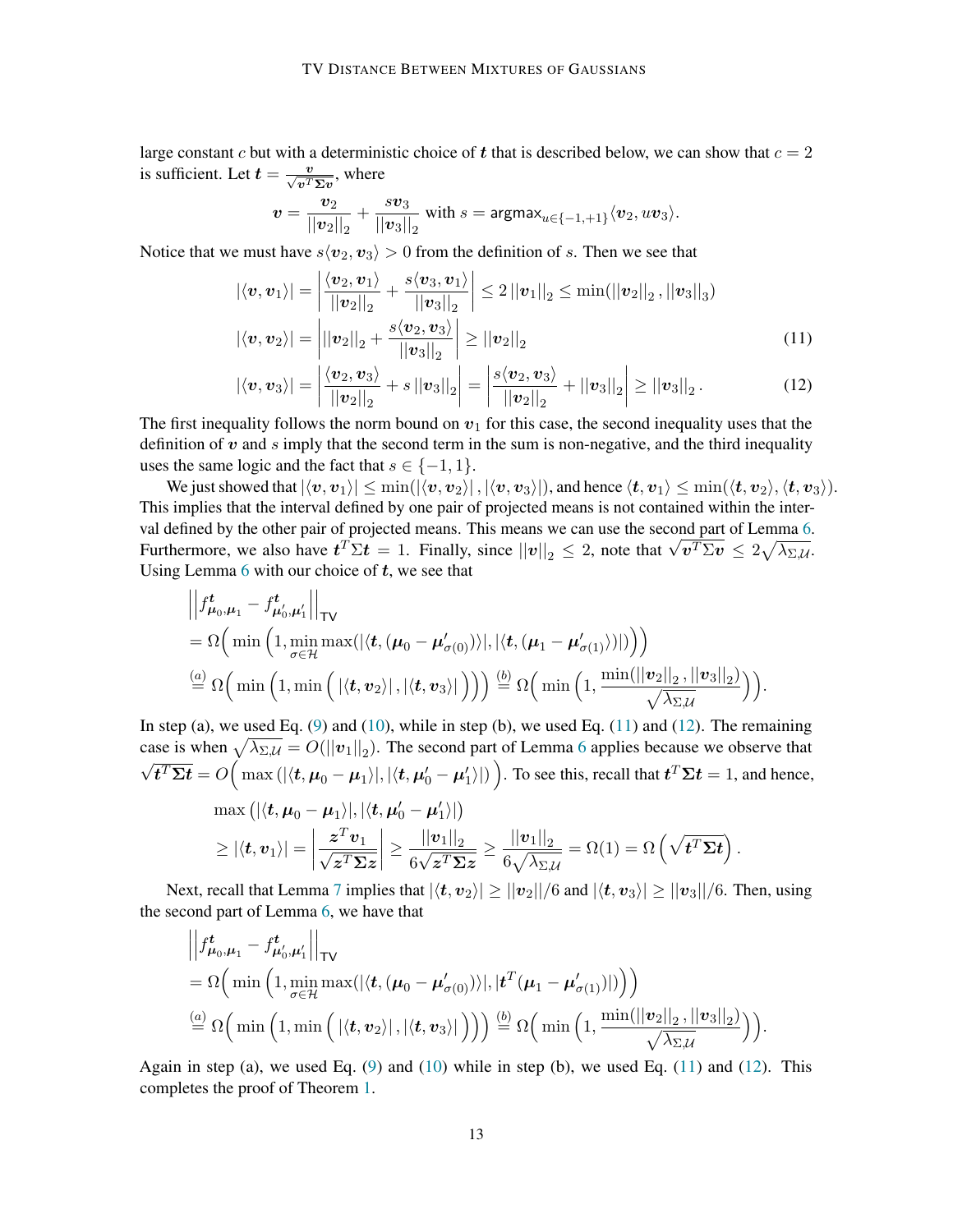large constant c but with a deterministic choice of t that is described below, we can show that  $c = 2$ is sufficient. Let  $t = \frac{v}{\sqrt{v^T \Sigma v}}$ , where

<span id="page-12-1"></span><span id="page-12-0"></span>
$$
\boldsymbol{v}=\frac{\boldsymbol{v}_2}{||\boldsymbol{v}_2||_2}+\frac{s\boldsymbol{v}_3}{||\boldsymbol{v}_3||_2}\text{ with }s=\text{argmax}_{u\in\{-1,+1\}}\langle \boldsymbol{v}_2, u\boldsymbol{v}_3\rangle.
$$

Notice that we must have  $s\langle v_2, v_3 \rangle > 0$  from the definition of s. Then we see that

$$
\begin{aligned} |\langle v, v_1 \rangle| &= \left| \frac{\langle v_2, v_1 \rangle}{||v_2||_2} + \frac{s \langle v_3, v_1 \rangle}{||v_3||_2} \right| \le 2 ||v_1||_2 \le \min(||v_2||_2, ||v_3||_3) \\ |\langle v, v_2 \rangle| &= \left| ||v_2||_2 + \frac{s \langle v_2, v_3 \rangle}{||v_3||_2} \right| \ge ||v_2||_2 \end{aligned} \tag{11}
$$

$$
|\langle v, v_3 \rangle|
$$
 =  $\left| \frac{\langle v_2, v_3 \rangle}{||v_2||_2} + s ||v_3||_2 \right|$  =  $\left| \frac{s \langle v_2, v_3 \rangle}{||v_2||_2} + ||v_3||_2 \right| \ge ||v_3||_2.$  (12)

The first inequality follows the norm bound on  $v_1$  for this case, the second inequality uses that the definition of  $v$  and  $s$  imply that the second term in the sum is non-negative, and the third inequality uses the same logic and the fact that  $s \in \{-1, 1\}$ .

We just showed that  $|\langle v, v_1\rangle| \le \min(|\langle v, v_2\rangle|, |\langle v, v_3\rangle|)$ , and hence  $\langle t, v_1\rangle \le \min(\langle t, v_2\rangle, \langle t, v_3\rangle)$ . This implies that the interval defined by one pair of projected means is not contained within the inter-val defined by the other pair of projected means. This means we can use the second part of Lemma [6.](#page-9-2) val defined by the other pair of projected means. This means we can use the second part of Lemma 6.<br>Furthermore, we also have  $t^T \Sigma t = 1$ . Finally, since  $||v||_2 \le 2$ , note that  $\sqrt{v^T \Sigma v} \le 2\sqrt{\lambda_{\Sigma,\mathcal{U}}}$ . Using Lemma  $6$  with our choice of  $t$ , we see that

$$
\begin{aligned}\n&\left\|\left|f_{\mu_0,\mu_1}^t - f_{\mu_0',\mu_1'}^t\right|\right|_{\mathsf{TV}} \\
&= \Omega\Big(\min\Big(1,\min_{\sigma\in\mathcal{H}}\max(|\langle\boldsymbol{t},(\mu_0-\mu_{\sigma(0)}')\rangle|,|\langle\boldsymbol{t},(\mu_1-\mu_{\sigma(1)}')\rangle|)\Big)\Big) \\
&\stackrel{(a)}{=} \Omega\Big(\min\Big(1,\min\Big(\left|\langle\boldsymbol{t},\boldsymbol{v}_2\rangle\right|,\left|\langle\boldsymbol{t},\boldsymbol{v}_3\rangle\right|\Big)\Big)\Big)\stackrel{(b)}{=} \Omega\Big(\min\Big(1,\frac{\min(||\boldsymbol{v}_2||_2,||\boldsymbol{v}_3||_2)}{\sqrt{\lambda_{\Sigma,\mathcal{U}}}}\Big)\Big).\n\end{aligned}
$$

In step (a), we used Eq.  $(9)$  and  $(10)$ , while in step (b), we used Eq.  $(11)$  and  $(12)$ . The remaining case is when  $\sqrt{\lambda_{\Sigma,\mathcal{U}}} = O(||v_1||_2)$ . The second part of Lemma [6](#page-9-2) applies because we observe that  $\overline{t^T \Sigma t} = O\Big(\max{(|\langle t,\mu_0-\mu_1\rangle|,|\langle t,\mu_0'-\mu_1'\rangle|)}\Big).$  To see this, recall that  $\overline{t^T \Sigma t} = 1,$  and hence,

$$
\max\left(|\langle \mathbf{t}, \boldsymbol{\mu}_0 - \boldsymbol{\mu}_1 \rangle|, |\langle \mathbf{t}, \boldsymbol{\mu}_0' - \boldsymbol{\mu}_1' \rangle|\right) \geq |\langle \mathbf{t}, \boldsymbol{v}_1 \rangle| = \left| \frac{\boldsymbol{z}^T \boldsymbol{v}_1}{\sqrt{\boldsymbol{z}^T \boldsymbol{\Sigma} \boldsymbol{z}}} \right| \geq \frac{||\boldsymbol{v}_1||_2}{6\sqrt{\boldsymbol{z}^T \boldsymbol{\Sigma} \boldsymbol{z}}} \geq \frac{||\boldsymbol{v}_1||_2}{6\sqrt{\lambda_{\Sigma, \mathcal{U}}}} = \Omega(1) = \Omega\left(\sqrt{\boldsymbol{t}^T \boldsymbol{\Sigma} \boldsymbol{t}}\right).
$$

Next, recall that Lemma [7](#page-10-0) implies that  $|\langle t, v_2 \rangle| \ge ||v_2||/6$  and  $|\langle t, v_3 \rangle| \ge ||v_3||/6$ . Then, using the second part of Lemma [6,](#page-9-2) we have that

$$
\left\|f_{\mu_0,\mu_1}^t - f_{\mu'_0,\mu'_1}^t\right\|_{\text{TV}}\n= \Omega\Big(\min\Big(1,\min_{\sigma \in \mathcal{H}} \max(|\langle \mathbf{t}, (\mu_0 - \mu'_{\sigma(0)}) \rangle|,|\mathbf{t}^T(\mu_1 - \mu'_{\sigma(1)})|)\Big)\Big)\n\stackrel{(a)}{=} \Omega\Big(\min\Big(1,\min\Big(|\langle \mathbf{t}, \mathbf{v}_2 \rangle|,|\langle \mathbf{t}, \mathbf{v}_3 \rangle|\Big)\Big)\Big)\stackrel{(b)}{=} \Omega\Big(\min\Big(1,\frac{\min(||\mathbf{v}_2||_2,||\mathbf{v}_3||_2)}{\sqrt{\lambda_{\Sigma,\mathcal{U}}}}\Big)\Big).
$$

Again in step (a), we used Eq.  $(9)$  and  $(10)$  while in step (b), we used Eq.  $(11)$  and  $(12)$ . This completes the proof of Theorem [1.](#page-2-0)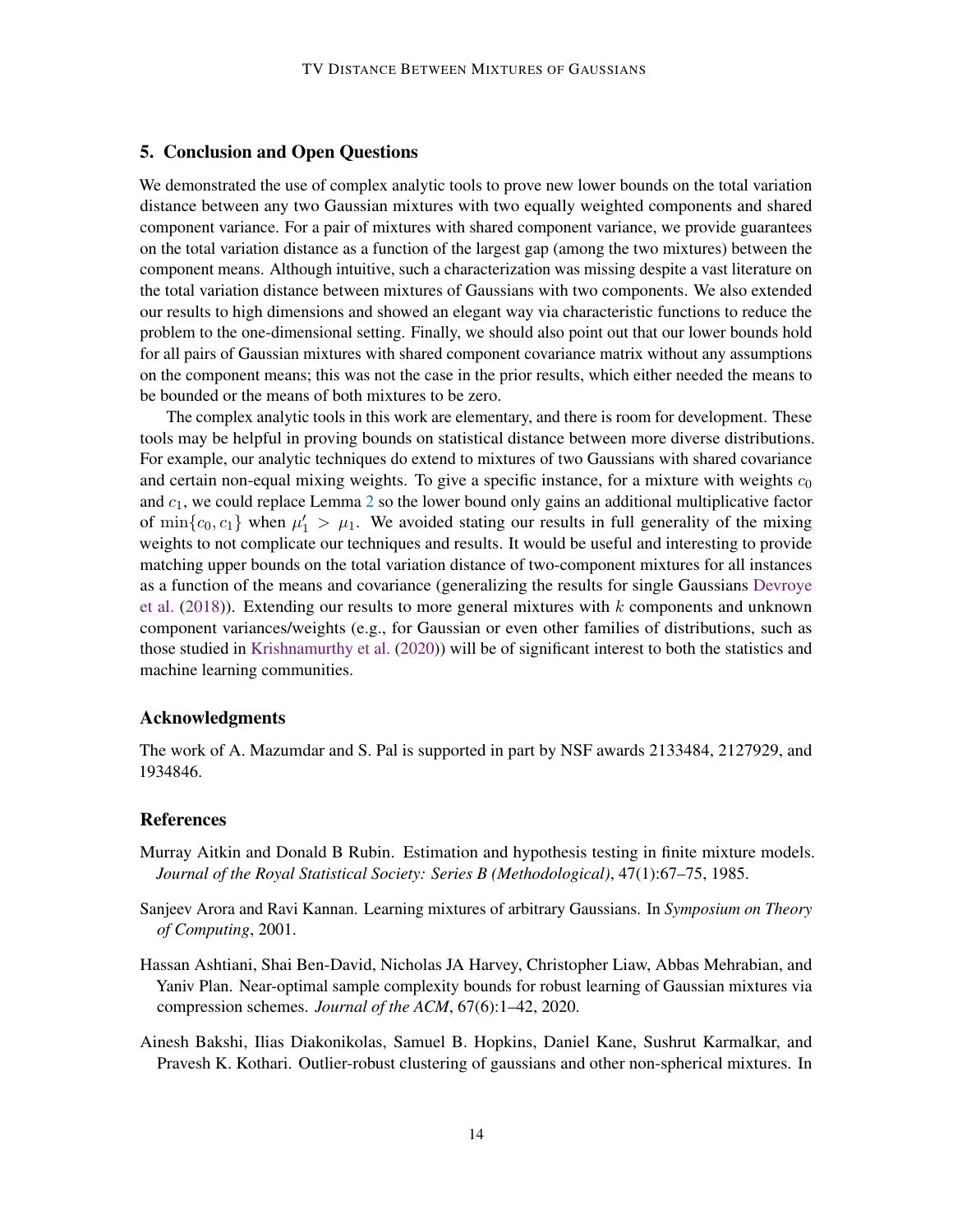# 5. Conclusion and Open Questions

We demonstrated the use of complex analytic tools to prove new lower bounds on the total variation distance between any two Gaussian mixtures with two equally weighted components and shared component variance. For a pair of mixtures with shared component variance, we provide guarantees on the total variation distance as a function of the largest gap (among the two mixtures) between the component means. Although intuitive, such a characterization was missing despite a vast literature on the total variation distance between mixtures of Gaussians with two components. We also extended our results to high dimensions and showed an elegant way via characteristic functions to reduce the problem to the one-dimensional setting. Finally, we should also point out that our lower bounds hold for all pairs of Gaussian mixtures with shared component covariance matrix without any assumptions on the component means; this was not the case in the prior results, which either needed the means to be bounded or the means of both mixtures to be zero.

The complex analytic tools in this work are elementary, and there is room for development. These tools may be helpful in proving bounds on statistical distance between more diverse distributions. For example, our analytic techniques do extend to mixtures of two Gaussians with shared covariance and certain non-equal mixing weights. To give a specific instance, for a mixture with weights  $c_0$ and  $c_1$ , we could replace Lemma [2](#page-6-1) so the lower bound only gains an additional multiplicative factor of  $\min\{c_0, c_1\}$  when  $\mu'_1 > \mu_1$ . We avoided stating our results in full generality of the mixing weights to not complicate our techniques and results. It would be useful and interesting to provide matching upper bounds on the total variation distance of two-component mixtures for all instances as a function of the means and covariance (generalizing the results for single Gaussians [Devroye](#page-14-4) [et al.](#page-14-4) [\(2018\)](#page-14-4)). Extending our results to more general mixtures with  $k$  components and unknown component variances/weights (e.g., for Gaussian or even other families of distributions, such as those studied in [Krishnamurthy et al.](#page-15-13) [\(2020\)](#page-15-13)) will be of significant interest to both the statistics and machine learning communities.

#### Acknowledgments

The work of A. Mazumdar and S. Pal is supported in part by NSF awards 2133484, 2127929, and 1934846.

# References

- <span id="page-13-3"></span>Murray Aitkin and Donald B Rubin. Estimation and hypothesis testing in finite mixture models. *Journal of the Royal Statistical Society: Series B (Methodological)*, 47(1):67–75, 1985.
- <span id="page-13-0"></span>Sanjeev Arora and Ravi Kannan. Learning mixtures of arbitrary Gaussians. In *Symposium on Theory of Computing*, 2001.
- <span id="page-13-1"></span>Hassan Ashtiani, Shai Ben-David, Nicholas JA Harvey, Christopher Liaw, Abbas Mehrabian, and Yaniv Plan. Near-optimal sample complexity bounds for robust learning of Gaussian mixtures via compression schemes. *Journal of the ACM*, 67(6):1–42, 2020.
- <span id="page-13-2"></span>Ainesh Bakshi, Ilias Diakonikolas, Samuel B. Hopkins, Daniel Kane, Sushrut Karmalkar, and Pravesh K. Kothari. Outlier-robust clustering of gaussians and other non-spherical mixtures. In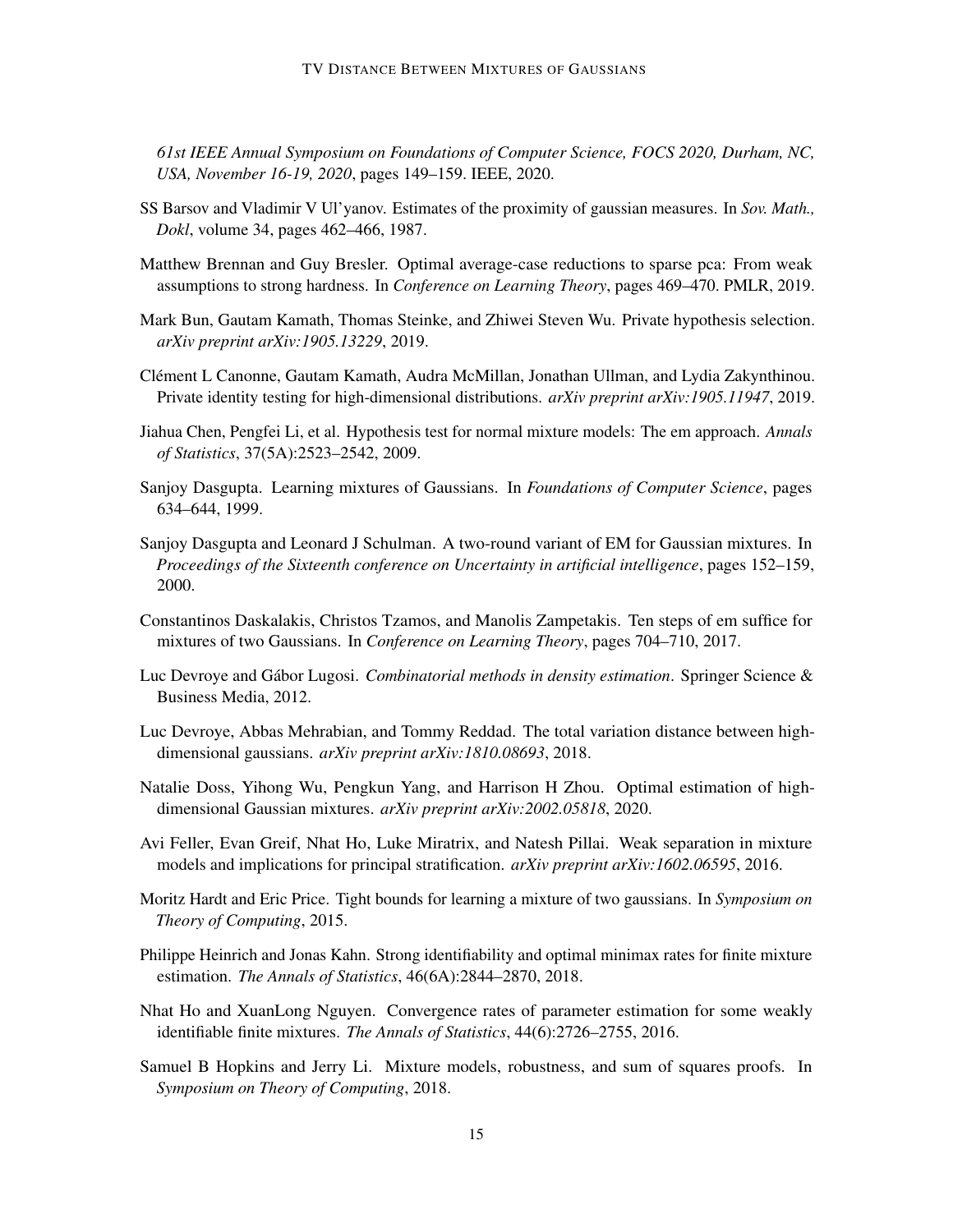*61st IEEE Annual Symposium on Foundations of Computer Science, FOCS 2020, Durham, NC, USA, November 16-19, 2020*, pages 149–159. IEEE, 2020.

- <span id="page-14-3"></span>SS Barsov and Vladimir V Ul'yanov. Estimates of the proximity of gaussian measures. In *Sov. Math., Dokl*, volume 34, pages 462–466, 1987.
- <span id="page-14-7"></span>Matthew Brennan and Guy Bresler. Optimal average-case reductions to sparse pca: From weak assumptions to strong hardness. In *Conference on Learning Theory*, pages 469–470. PMLR, 2019.
- <span id="page-14-5"></span>Mark Bun, Gautam Kamath, Thomas Steinke, and Zhiwei Steven Wu. Private hypothesis selection. *arXiv preprint arXiv:1905.13229*, 2019.
- <span id="page-14-6"></span>Clément L Canonne, Gautam Kamath, Audra McMillan, Jonathan Ullman, and Lydia Zakynthinou. Private identity testing for high-dimensional distributions. *arXiv preprint arXiv:1905.11947*, 2019.
- <span id="page-14-9"></span>Jiahua Chen, Pengfei Li, et al. Hypothesis test for normal mixture models: The em approach. *Annals of Statistics*, 37(5A):2523–2542, 2009.
- <span id="page-14-0"></span>Sanjoy Dasgupta. Learning mixtures of Gaussians. In *Foundations of Computer Science*, pages 634–644, 1999.
- <span id="page-14-1"></span>Sanjoy Dasgupta and Leonard J Schulman. A two-round variant of EM for Gaussian mixtures. In *Proceedings of the Sixteenth conference on Uncertainty in artificial intelligence*, pages 152–159, 2000.
- <span id="page-14-8"></span>Constantinos Daskalakis, Christos Tzamos, and Manolis Zampetakis. Ten steps of em suffice for mixtures of two Gaussians. In *Conference on Learning Theory*, pages 704–710, 2017.
- <span id="page-14-2"></span>Luc Devroye and Gábor Lugosi. *Combinatorial methods in density estimation*. Springer Science & Business Media, 2012.
- <span id="page-14-4"></span>Luc Devroye, Abbas Mehrabian, and Tommy Reddad. The total variation distance between highdimensional gaussians. *arXiv preprint arXiv:1810.08693*, 2018.
- <span id="page-14-11"></span>Natalie Doss, Yihong Wu, Pengkun Yang, and Harrison H Zhou. Optimal estimation of highdimensional Gaussian mixtures. *arXiv preprint arXiv:2002.05818*, 2020.
- <span id="page-14-12"></span>Avi Feller, Evan Greif, Nhat Ho, Luke Miratrix, and Natesh Pillai. Weak separation in mixture models and implications for principal stratification. *arXiv preprint arXiv:1602.06595*, 2016.
- <span id="page-14-15"></span>Moritz Hardt and Eric Price. Tight bounds for learning a mixture of two gaussians. In *Symposium on Theory of Computing*, 2015.
- <span id="page-14-14"></span>Philippe Heinrich and Jonas Kahn. Strong identifiability and optimal minimax rates for finite mixture estimation. *The Annals of Statistics*, 46(6A):2844–2870, 2018.
- <span id="page-14-13"></span>Nhat Ho and XuanLong Nguyen. Convergence rates of parameter estimation for some weakly identifiable finite mixtures. *The Annals of Statistics*, 44(6):2726–2755, 2016.
- <span id="page-14-10"></span>Samuel B Hopkins and Jerry Li. Mixture models, robustness, and sum of squares proofs. In *Symposium on Theory of Computing*, 2018.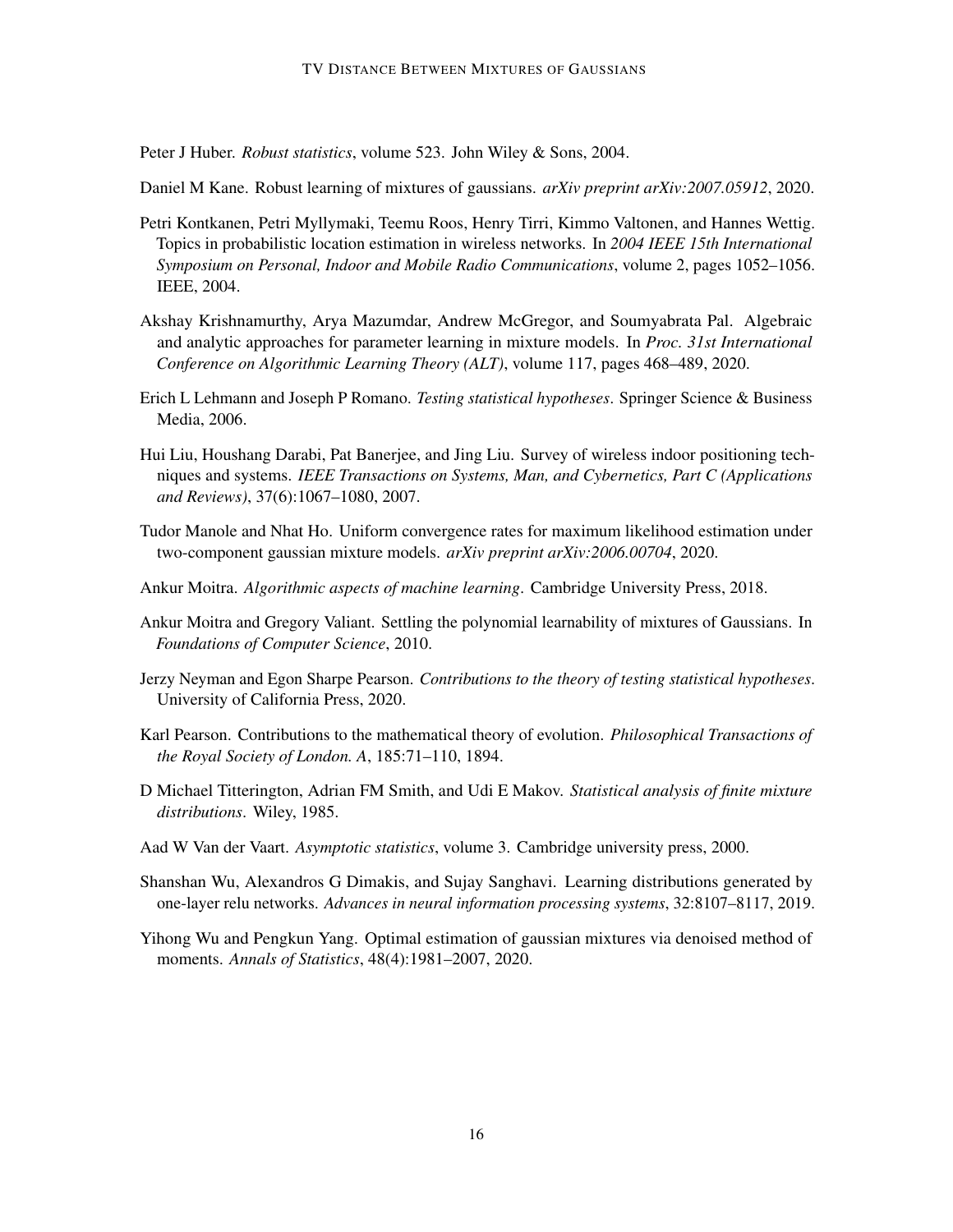<span id="page-15-0"></span>Peter J Huber. *Robust statistics*, volume 523. John Wiley & Sons, 2004.

<span id="page-15-1"></span>Daniel M Kane. Robust learning of mixtures of gaussians. *arXiv preprint arXiv:2007.05912*, 2020.

- <span id="page-15-10"></span>Petri Kontkanen, Petri Myllymaki, Teemu Roos, Henry Tirri, Kimmo Valtonen, and Hannes Wettig. Topics in probabilistic location estimation in wireless networks. In *2004 IEEE 15th International Symposium on Personal, Indoor and Mobile Radio Communications*, volume 2, pages 1052–1056. IEEE, 2004.
- <span id="page-15-13"></span>Akshay Krishnamurthy, Arya Mazumdar, Andrew McGregor, and Soumyabrata Pal. Algebraic and analytic approaches for parameter learning in mixture models. In *Proc. 31st International Conference on Algorithmic Learning Theory (ALT)*, volume 117, pages 468–489, 2020.
- <span id="page-15-6"></span>Erich L Lehmann and Joseph P Romano. *Testing statistical hypotheses*. Springer Science & Business Media, 2006.
- <span id="page-15-11"></span>Hui Liu, Houshang Darabi, Pat Banerjee, and Jing Liu. Survey of wireless indoor positioning techniques and systems. *IEEE Transactions on Systems, Man, and Cybernetics, Part C (Applications and Reviews)*, 37(6):1067–1080, 2007.
- <span id="page-15-14"></span>Tudor Manole and Nhat Ho. Uniform convergence rates for maximum likelihood estimation under two-component gaussian mixture models. *arXiv preprint arXiv:2006.00704*, 2020.
- <span id="page-15-2"></span>Ankur Moitra. *Algorithmic aspects of machine learning*. Cambridge University Press, 2018.
- <span id="page-15-3"></span>Ankur Moitra and Gregory Valiant. Settling the polynomial learnability of mixtures of Gaussians. In *Foundations of Computer Science*, 2010.
- <span id="page-15-7"></span>Jerzy Neyman and Egon Sharpe Pearson. *Contributions to the theory of testing statistical hypotheses*. University of California Press, 2020.
- <span id="page-15-4"></span>Karl Pearson. Contributions to the mathematical theory of evolution. *Philosophical Transactions of the Royal Society of London. A*, 185:71–110, 1894.
- <span id="page-15-5"></span>D Michael Titterington, Adrian FM Smith, and Udi E Makov. *Statistical analysis of finite mixture distributions*. Wiley, 1985.
- <span id="page-15-12"></span>Aad W Van der Vaart. *Asymptotic statistics*, volume 3. Cambridge university press, 2000.
- <span id="page-15-8"></span>Shanshan Wu, Alexandros G Dimakis, and Sujay Sanghavi. Learning distributions generated by one-layer relu networks. *Advances in neural information processing systems*, 32:8107–8117, 2019.
- <span id="page-15-9"></span>Yihong Wu and Pengkun Yang. Optimal estimation of gaussian mixtures via denoised method of moments. *Annals of Statistics*, 48(4):1981–2007, 2020.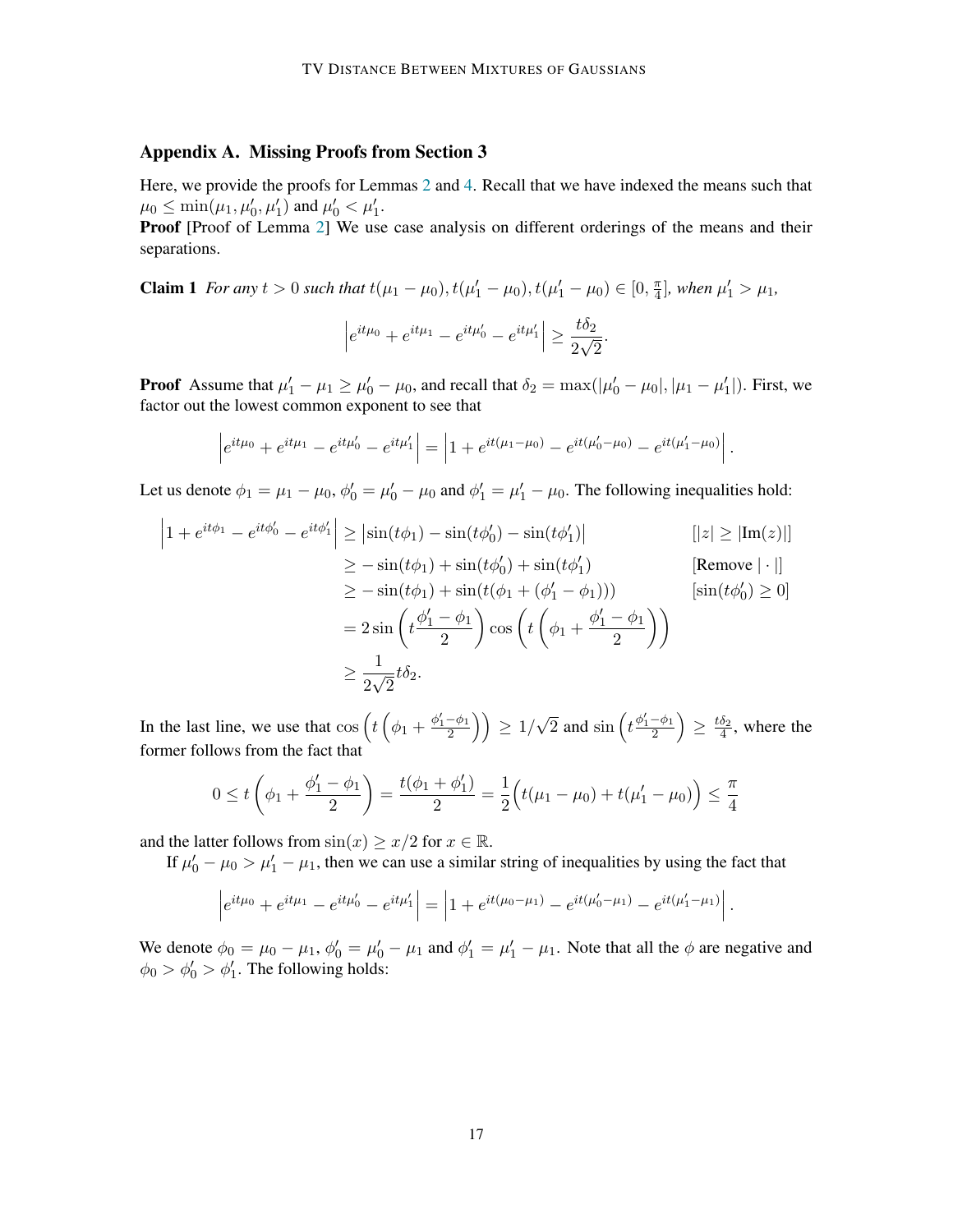# <span id="page-16-0"></span>Appendix A. Missing Proofs from Section 3

Here, we provide the proofs for Lemmas [2](#page-6-1) and [4.](#page-8-0) Recall that we have indexed the means such that  $\mu_0 \leq \min(\mu_1, \mu'_0, \mu'_1)$  and  $\mu'_0 < \mu'_1$ .

Proof [Proof of Lemma [2\]](#page-6-1) We use case analysis on different orderings of the means and their separations.

**Claim 1** *For any*  $t > 0$  *such that*  $t(\mu_1 - \mu_0), t(\mu'_1 - \mu_0), t(\mu'_1 - \mu_0) \in [0, \frac{\pi}{4}]$  $\frac{\pi}{4}$ , when  $\mu'_1 > \mu_1$ ,

$$
\left| e^{it\mu_0} + e^{it\mu_1} - e^{it\mu'_0} - e^{it\mu'_1} \right| \ge \frac{t\delta_2}{2\sqrt{2}}.
$$

**Proof** Assume that  $\mu'_1 - \mu_1 \ge \mu'_0 - \mu_0$ , and recall that  $\delta_2 = \max(|\mu'_0 - \mu_0|, |\mu_1 - \mu'_1|)$ . First, we factor out the lowest common exponent to see that

$$
\left|e^{it\mu_0} + e^{it\mu_1} - e^{it\mu'_0} - e^{it\mu'_1}\right| = \left|1 + e^{it(\mu_1 - \mu_0)} - e^{it(\mu'_0 - \mu_0)} - e^{it(\mu'_1 - \mu_0)}\right|.
$$

Let us denote  $\phi_1 = \mu_1 - \mu_0$ ,  $\phi'_0 = \mu'_0 - \mu_0$  and  $\phi'_1 = \mu'_1 - \mu_0$ . The following inequalities hold:

$$
\begin{aligned}\n\left|1 + e^{it\phi_1} - e^{it\phi_0'} - e^{it\phi_1'}\right| &\geq \left|\sin(t\phi_1) - \sin(t\phi_0') - \sin(t\phi_1')\right| & \quad & \quad \left[\left|z\right| \geq \left|\text{Im}(z)\right|\right] \\
&\geq -\sin(t\phi_1) + \sin(t\phi_0') + \sin(t\phi_1') & \quad \text{[Remove } |\cdot|] \\
&\geq -\sin(t\phi_1) + \sin(t(\phi_1 + (\phi_1' - \phi_1))) & \quad & \quad \left[\sin(t\phi_0') \geq 0\right] \\
&= 2\sin\left(t\frac{\phi_1' - \phi_1}{2}\right)\cos\left(t\left(\phi_1 + \frac{\phi_1' - \phi_1}{2}\right)\right) & \quad &\geq \frac{1}{2\sqrt{2}}t\delta_2.\n\end{aligned}
$$

In the last line, we use that  $\cos\left(t\left(\phi_1+\frac{\phi'_1-\phi_1}{2}\right)\right) \ge 1/\sqrt{2}$  and  $\sin\left(t\frac{\phi'_1-\phi_1}{2}\right) \ge \frac{t\delta_2}{4}$ , where the former follows from the fact that

$$
0 \le t\left(\phi_1 + \frac{\phi_1' - \phi_1}{2}\right) = \frac{t(\phi_1 + \phi_1')}{2} = \frac{1}{2}\left(t(\mu_1 - \mu_0) + t(\mu_1' - \mu_0)\right) \le \frac{\pi}{4}
$$

and the latter follows from  $\sin(x) \geq x/2$  for  $x \in \mathbb{R}$ .

If  $\mu'_0 - \mu_0 > \mu'_1 - \mu_1$ , then we can use a similar string of inequalities by using the fact that

$$
\left|e^{it\mu_0} + e^{it\mu_1} - e^{it\mu'_0} - e^{it\mu'_1}\right| = \left|1 + e^{it(\mu_0 - \mu_1)} - e^{it(\mu'_0 - \mu_1)} - e^{it(\mu'_1 - \mu_1)}\right|.
$$

We denote  $\phi_0 = \mu_0 - \mu_1$ ,  $\phi'_0 = \mu'_0 - \mu_1$  and  $\phi'_1 = \mu'_1 - \mu_1$ . Note that all the  $\phi$  are negative and  $\phi_0 > \phi_0' > \phi_1'$ . The following holds: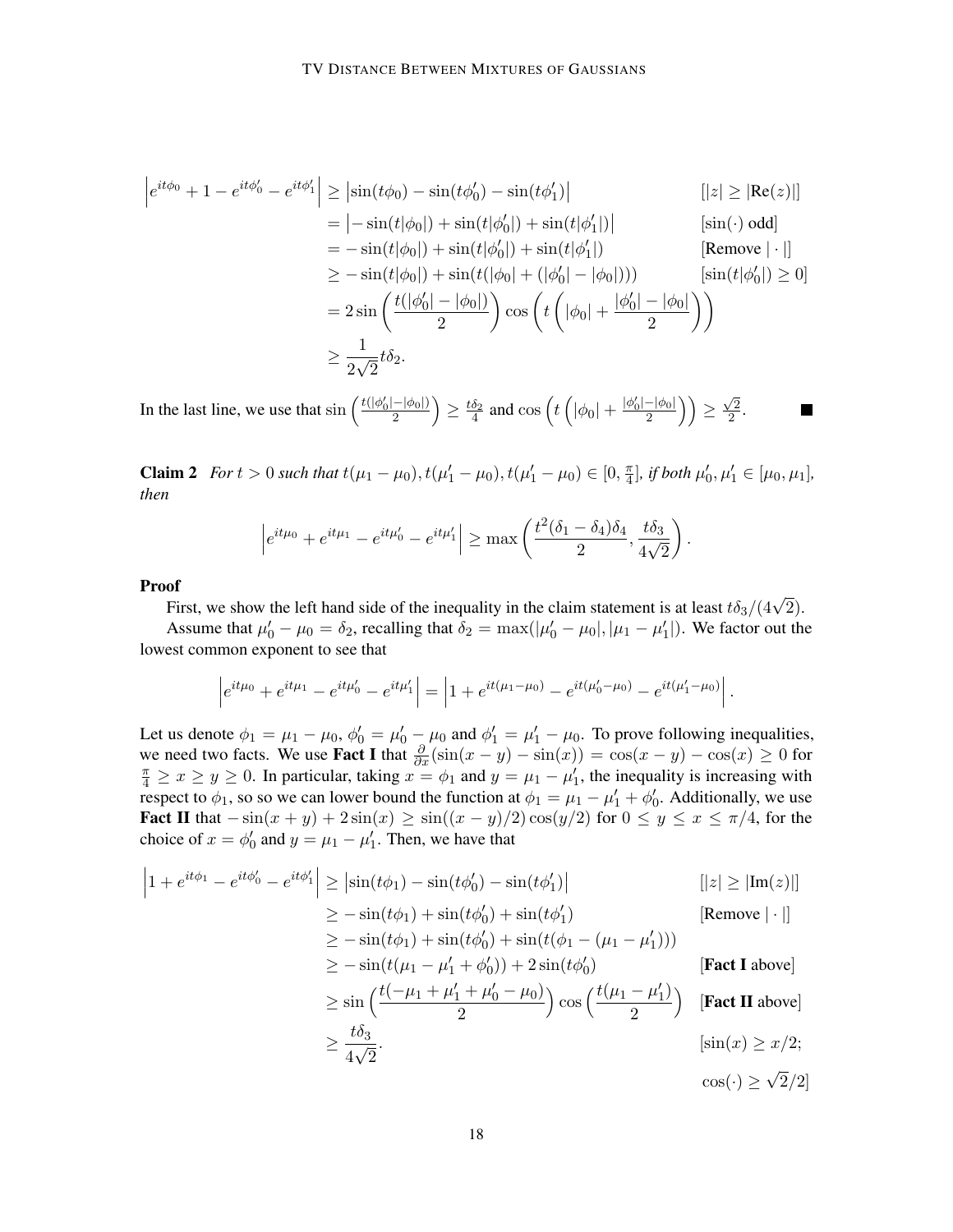$$
\begin{aligned}\n\left| e^{it\phi_0} + 1 - e^{it\phi_0'} - e^{it\phi_1'} \right| &\geq \left| \sin(t\phi_0) - \sin(t\phi_0') - \sin(t\phi_1') \right| & \left[ \left| z \right| \geq \left| \text{Re}(z) \right| \right] \\
&= \left| -\sin(t|\phi_0|) + \sin(t|\phi_0'|) + \sin(t|\phi_1'|) \right| & \left[ \sin(\cdot) \text{ odd} \right] \\
&= -\sin(t|\phi_0|) + \sin(t|\phi_0'|) + \sin(t|\phi_1'|) & \left[ \text{Remove } |\cdot| \right] \\
&\geq -\sin(t|\phi_0|) + \sin(t(|\phi_0| + (|\phi_0'| - |\phi_0|))) & \left[ \sin(t|\phi_0'|) \geq 0 \right] \\
&= 2 \sin \left( \frac{t(|\phi_0'| - |\phi_0|)}{2} \right) \cos \left( t \left( |\phi_0| + \frac{|\phi_0'| - |\phi_0|}{2} \right) \right) \\
&\geq \frac{1}{2\sqrt{2}} t \delta_2.\n\end{aligned}
$$

In the last line, we use that  $\sin\left(\frac{t(|\phi_0'| - |\phi_0|)}{2}\right)$  $\frac{-|\phi_0|}{2}\Big) \ge \frac{t\delta_2}{4}$  and  $\cos\left(t\left(|\phi_0| + \frac{|\phi_0'| - |\phi_0|}{2}\right)\right)$  $\frac{-|\phi_0|}{2}\Big)\Big)\geq \frac{\sqrt{2}}{2}$  $rac{2}{2}$ .

**Claim 2** *For*  $t > 0$  *such that*  $t(\mu_1 - \mu_0), t(\mu'_1 - \mu_0), t(\mu'_1 - \mu_0) \in [0, \frac{\pi}{4}]$  $[\frac{\pi}{4}]$ *, if both*  $\mu'_0, \mu'_1 \in [\mu_0, \mu_1]$ *, then*

$$
\left| e^{it\mu_0} + e^{it\mu_1} - e^{it\mu'_0} - e^{it\mu'_1} \right| \ge \max\left( \frac{t^2(\delta_1 - \delta_4)\delta_4}{2}, \frac{t\delta_3}{4\sqrt{2}} \right).
$$

Proof

First, we show the left hand side of the inequality in the claim statement is at least  $t\delta_3/(4\sqrt{2})$ .

Assume that  $\mu'_0 - \mu_0 = \delta_2$ , recalling that  $\delta_2 = \max(|\mu'_0 - \mu_0|, |\mu_1 - \mu'_1|)$ . We factor out the lowest common exponent to see that

$$
\left|e^{it\mu_0} + e^{it\mu_1} - e^{it\mu'_0} - e^{it\mu'_1}\right| = \left|1 + e^{it(\mu_1 - \mu_0)} - e^{it(\mu'_0 - \mu_0)} - e^{it(\mu'_1 - \mu_0)}\right|.
$$

Let us denote  $\phi_1 = \mu_1 - \mu_0$ ,  $\phi'_0 = \mu'_0 - \mu_0$  and  $\phi'_1 = \mu'_1 - \mu_0$ . To prove following inequalities, we need two facts. We use **Fact I** that  $\frac{\partial}{\partial x}(\sin(x - y) - \sin(x)) = \cos(x - y) - \cos(x) \ge 0$  for  $\frac{\pi}{4} \ge x \ge y \ge 0$ . In particular, taking  $x = \phi_1$  and  $y = \mu_1 - \mu'_1$ , the inequality is increasing with respect to  $\phi_1$ , so so we can lower bound the function at  $\phi_1 = \mu_1 - \mu'_1 + \phi'_0$ . Additionally, we use Fact II that  $-\sin(x+y) + 2\sin(x) \ge \sin((x-y)/2)\cos(y/2)$  for  $0 \le y \le x \le \pi/4$ , for the choice of  $x = \phi'_0$  and  $y = \mu_1 - \mu'_1$ . Then, we have that

$$
\begin{aligned}\n\left|1 + e^{it\phi_1} - e^{it\phi_0'} - e^{it\phi_1'}\right| &\geq \left|\sin(t\phi_1) - \sin(t\phi_0') - \sin(t\phi_1')\right| & \quad \text{[|z| \geq |Im(z)|]} \\
&\geq -\sin(t\phi_1) + \sin(t\phi_0') + \sin(t\phi_1') & \quad \text{[Remove } |\cdot|\text{]} \\
&\geq -\sin(t\phi_1) + \sin(t\phi_0') + \sin(t(\phi_1 - (\mu_1 - \mu_1'))) & \\
&\geq -\sin(t(\mu_1 - \mu_1' + \phi_0')) + 2\sin(t\phi_0') & \quad \text{[Fact I above]} \\
&\geq \sin\left(\frac{t(-\mu_1 + \mu_1' + \mu_0' - \mu_0)}{2}\right)\cos\left(\frac{t(\mu_1 - \mu_1')}{2}\right) & \quad \text{[Fact II above]} \\
&\geq \frac{t\delta_3}{4\sqrt{2}} & \quad \text{[sin(x) \geq x/2;} \\
&\quad \cos(\cdot) \geq \sqrt{2}/2|\n\end{aligned}
$$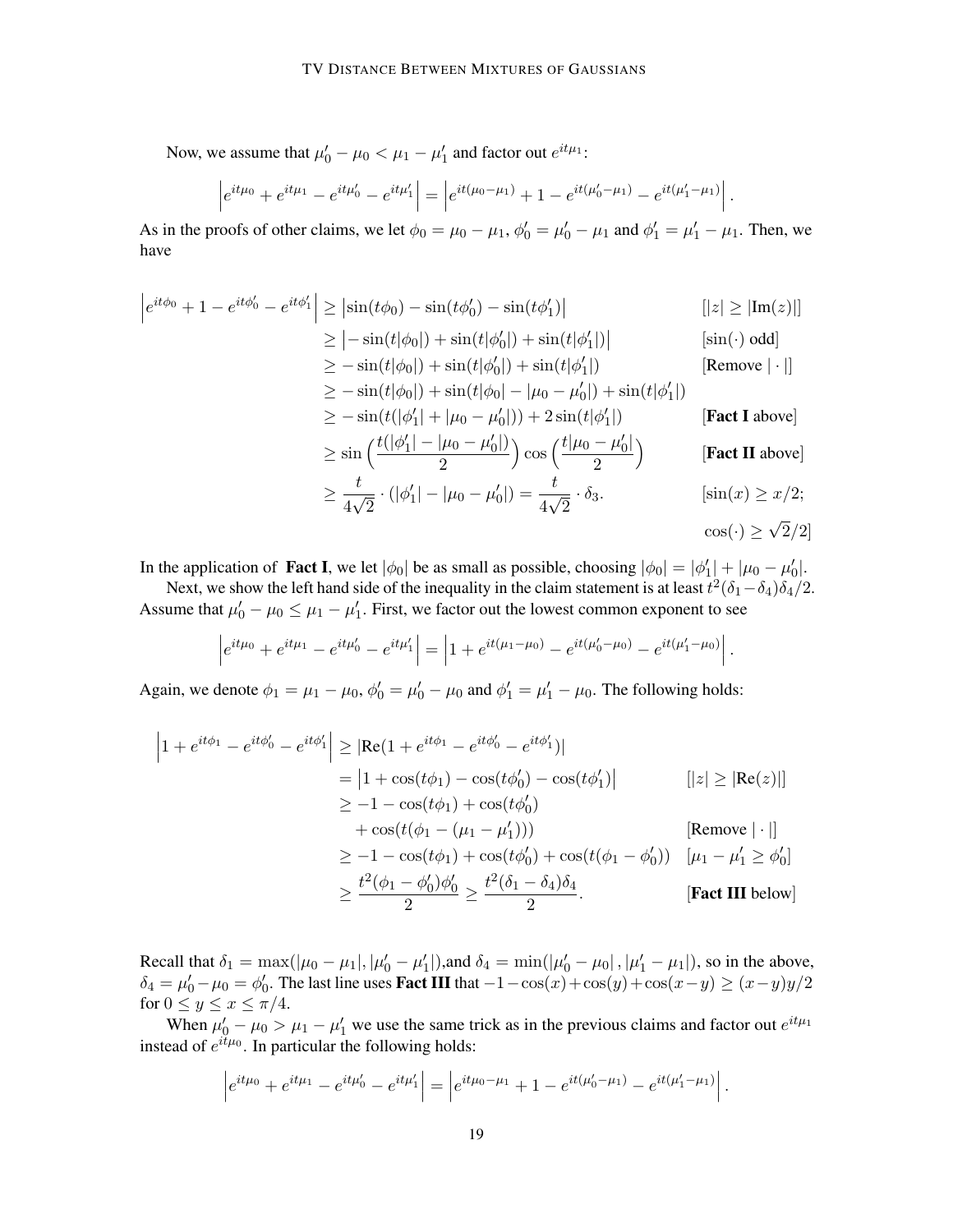Now, we assume that  $\mu'_0 - \mu_0 < \mu_1 - \mu'_1$  and factor out  $e^{it\mu_1}$ :

$$
\left|e^{it\mu_0} + e^{it\mu_1} - e^{it\mu'_0} - e^{it\mu'_1}\right| = \left|e^{it(\mu_0 - \mu_1)} + 1 - e^{it(\mu'_0 - \mu_1)} - e^{it(\mu'_1 - \mu_1)}\right|.
$$

As in the proofs of other claims, we let  $\phi_0 = \mu_0 - \mu_1$ ,  $\phi'_0 = \mu'_0 - \mu_1$  and  $\phi'_1 = \mu'_1 - \mu_1$ . Then, we have

$$
\begin{aligned}\n\left| e^{it\phi_0} + 1 - e^{it\phi_0'} - e^{it\phi_1'} \right| &\geq \left| \sin(t\phi_0) - \sin(t\phi_0') - \sin(t\phi_1') \right| & \left[ \left| z \right| \geq \left| \text{Im}(z) \right| \right] \\
&\geq \left| -\sin(t|\phi_0|) + \sin(t|\phi_0'|) + \sin(t|\phi_1'|) \right| & \left[ \sin(\cdot) \text{ odd} \right] \\
&\geq -\sin(t|\phi_0|) + \sin(t|\phi_0'|) + \sin(t|\phi_1'|) & \left[ \text{Remove } |\cdot| \right] \\
&\geq -\sin(t|\phi_0|) + \sin(t|\phi_0| - |\mu_0 - \mu_0'|) + \sin(t|\phi_1'|) & \left[ \text{Fact I above} \right] \\
&\geq -\sin(t(|\phi_1'| + |\mu_0 - \mu_0'|)) + 2\sin(t|\phi_1'|) & \left[ \text{Fact I above} \right] \\
&\geq \sin\left(\frac{t(|\phi_1'| - |\mu_0 - \mu_0'|)}{2}\right) \cos\left(\frac{t|\mu_0 - \mu_0'|}{2}\right) & \left[ \text{Fact II above} \right] \\
&\geq \frac{t}{4\sqrt{2}} \cdot (|\phi_1'| - |\mu_0 - \mu_0'|) = \frac{t}{4\sqrt{2}} \cdot \delta_3. & \left[ \sin(x) \geq x/2; \cos(\cdot) \geq \sqrt{2}/2 \right]\n\end{aligned}
$$

In the application of **Fact I**, we let  $|\phi_0|$  be as small as possible, choosing  $|\phi_0| = |\phi'_1| + |\mu_0 - \mu'_0|$ .

Next, we show the left hand side of the inequality in the claim statement is at least  $t^2(\delta_1-\delta_4)\delta_4/2$ . Assume that  $\mu'_0 - \mu_0 \leq \mu_1 - \mu'_1$ . First, we factor out the lowest common exponent to see

$$
\left|e^{it\mu_0} + e^{it\mu_1} - e^{it\mu'_0} - e^{it\mu'_1}\right| = \left|1 + e^{it(\mu_1 - \mu_0)} - e^{it(\mu'_0 - \mu_0)} - e^{it(\mu'_1 - \mu_0)}\right|.
$$

Again, we denote  $\phi_1 = \mu_1 - \mu_0$ ,  $\phi'_0 = \mu'_0 - \mu_0$  and  $\phi'_1 = \mu'_1 - \mu_0$ . The following holds:

$$
\begin{aligned}\n\left|1 + e^{it\phi_1} - e^{it\phi_0'} - e^{it\phi_1'}\right| &\geq \left|\text{Re}(1 + e^{it\phi_1} - e^{it\phi_0'} - e^{it\phi_1'})\right| \\
&= \left|1 + \cos(t\phi_1) - \cos(t\phi_0') - \cos(t\phi_1')\right| \\
&\geq -1 - \cos(t\phi_1) + \cos(t\phi_0') \\
&\quad + \cos(t(\phi_1 - (\mu_1 - \mu_1')))\n\end{aligned}\n\quad\n[\text{Remove } |\cdot|]\n\geq -1 - \cos(t\phi_1) + \cos(t\phi_0') + \cos(t(\phi_1 - \phi_0')) \quad [\mu_1 - \mu_1' \geq \phi_0']\n\geq \frac{t^2(\phi_1 - \phi_0')\phi_0'}{2} \geq \frac{t^2(\delta_1 - \delta_4)\delta_4}{2}.\n\quad\n[\text{Fact III below }]
$$

Recall that  $\delta_1 = \max(|\mu_0 - \mu_1|, |\mu'_0 - \mu'_1|)$ , and  $\delta_4 = \min(|\mu'_0 - \mu_0|, |\mu'_1 - \mu_1|)$ , so in the above,  $\delta_4 = \mu'_0 - \mu_0 = \phi'_0$ . The last line uses **Fact III** that  $-1 - \cos(x) + \cos(y) + \cos(x-y) \ge (x-y)y/2$ for  $0 \leq y \leq x \leq \pi/4$ .

When  $\mu'_0 - \mu_0 > \mu_1 - \mu'_1$  we use the same trick as in the previous claims and factor out  $e^{it\mu_1}$ instead of  $e^{it\mu_0}$ . In particular the following holds:

$$
\left|e^{it\mu_0} + e^{it\mu_1} - e^{it\mu_0'} - e^{it\mu_1'}\right| = \left|e^{it\mu_0 - \mu_1} + 1 - e^{it(\mu_0' - \mu_1)} - e^{it(\mu_1' - \mu_1)}\right|.
$$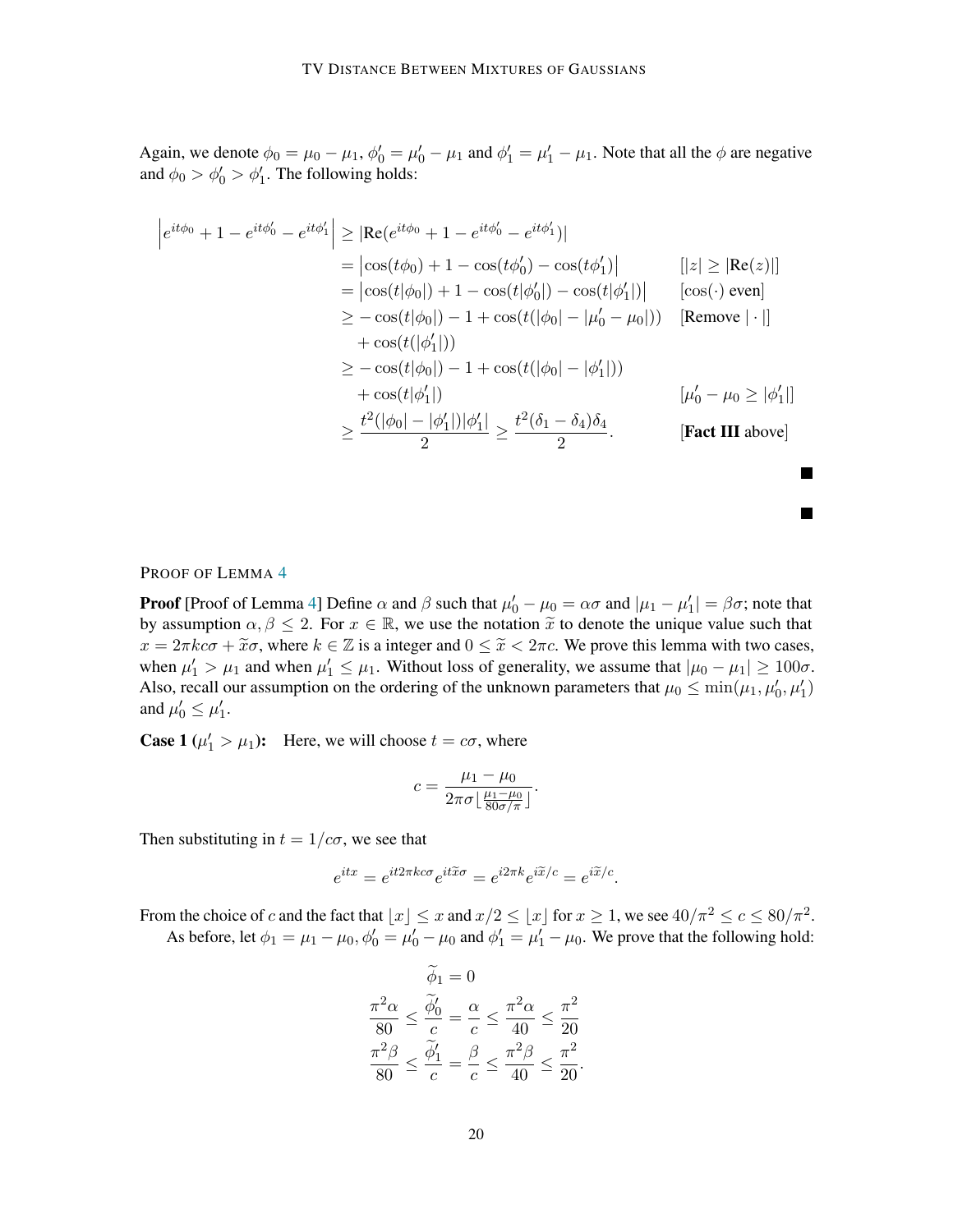Again, we denote  $\phi_0 = \mu_0 - \mu_1$ ,  $\phi'_0 = \mu'_0 - \mu_1$  and  $\phi'_1 = \mu'_1 - \mu_1$ . Note that all the  $\phi$  are negative and  $\phi_0 > \phi'_0 > \phi'_1$ . The following holds:

$$
\begin{aligned}\n\left| e^{it\phi_0} + 1 - e^{it\phi_0'} - e^{it\phi_1'} \right| &\geq \left| \text{Re}(e^{it\phi_0} + 1 - e^{it\phi_0'} - e^{it\phi_1'}) \right| \\
&= \left| \cos(t\phi_0) + 1 - \cos(t\phi_0') - \cos(t\phi_1') \right| \\
&= \left| \cos(t|\phi_0|) + 1 - \cos(t|\phi_0'|) - \cos(t|\phi_1'|) \right| \qquad [\cos(\cdot) \text{ even}] \\
&\geq -\cos(t|\phi_0|) - 1 + \cos(t(|\phi_0| - |\mu_0' - \mu_0|)) \qquad [\text{Remove } |\cdot|] \\
&\quad + \cos(t(|\phi_1'|)) \\
&\geq -\cos(t|\phi_0|) - 1 + \cos(t(|\phi_0| - |\phi_1'|)) \\
&\quad + \cos(t|\phi_1'|) \qquad \qquad [\mu_0' - \mu_0 \geq |\phi_1'|] \\
&\geq \frac{t^2(|\phi_0| - |\phi_1'|)|\phi_1'|}{2} \geq \frac{t^2(\delta_1 - \delta_4)\delta_4}{2}. \qquad [\text{Fact III above}] \n\end{aligned}
$$

PROOF OF LEMMA [4](#page-8-0)

**Proof** [Proof of Lemma [4\]](#page-8-0) Define  $\alpha$  and  $\beta$  such that  $\mu'_0 - \mu_0 = \alpha \sigma$  and  $|\mu_1 - \mu'_1| = \beta \sigma$ ; note that by assumption  $\alpha, \beta \leq 2$ . For  $x \in \mathbb{R}$ , we use the notation  $\tilde{x}$  to denote the unique value such that  $x = 2\pi kc\sigma + \tilde{x}\sigma$ , where  $k \in \mathbb{Z}$  is a integer and  $0 \leq \tilde{x} < 2\pi c$ . We prove this lemma with two cases, when  $\mu'_1 > \mu_1$  and when  $\mu'_1 \leq \mu_1$ . Without loss of generality, we assume that  $|\mu_0 - \mu_1| \geq 100\sigma$ . Also, recall our assumption on the ordering of the unknown parameters that  $\mu_0 \le \min(\mu_1, \mu'_0, \mu'_1)$ and  $\mu'_0 \leq \mu'_1$ .

**Case 1** ( $\mu'_1 > \mu_1$ ): Here, we will choose  $t = c\sigma$ , where

$$
c = \frac{\mu_1 - \mu_0}{2\pi\sigma \left\lfloor \frac{\mu_1 - \mu_0}{80\sigma/\pi} \right\rfloor}.
$$

Then substituting in  $t = 1/c\sigma$ , we see that

$$
e^{itx} = e^{it2\pi kc\sigma} e^{it\tilde{x}\sigma} = e^{i2\pi k} e^{i\tilde{x}/c} = e^{i\tilde{x}/c}.
$$

From the choice of c and the fact that  $\lfloor x \rfloor \le x$  and  $x/2 \le \lfloor x \rfloor$  for  $x \ge 1$ , we see  $40/\pi^2 \le c \le 80/\pi^2$ . As before, let  $\phi_1 = \mu_1 - \mu_0$ ,  $\phi'_0 = \mu'_0 - \mu_0$  and  $\phi'_1 = \mu'_1 - \mu_0$ . We prove that the following hold:

$$
\begin{aligned}\n\phi_1 &= 0\\ \n\frac{\pi^2 \alpha}{80} &\leq \frac{\widetilde{\phi}_0'}{c} = \frac{\alpha}{c} \leq \frac{\pi^2 \alpha}{40} \leq \frac{\pi^2}{20} \\ \n\frac{\pi^2 \beta}{80} &\leq \frac{\widetilde{\phi}_1'}{c} = \frac{\beta}{c} \leq \frac{\pi^2 \beta}{40} \leq \frac{\pi^2}{20}.\n\end{aligned}
$$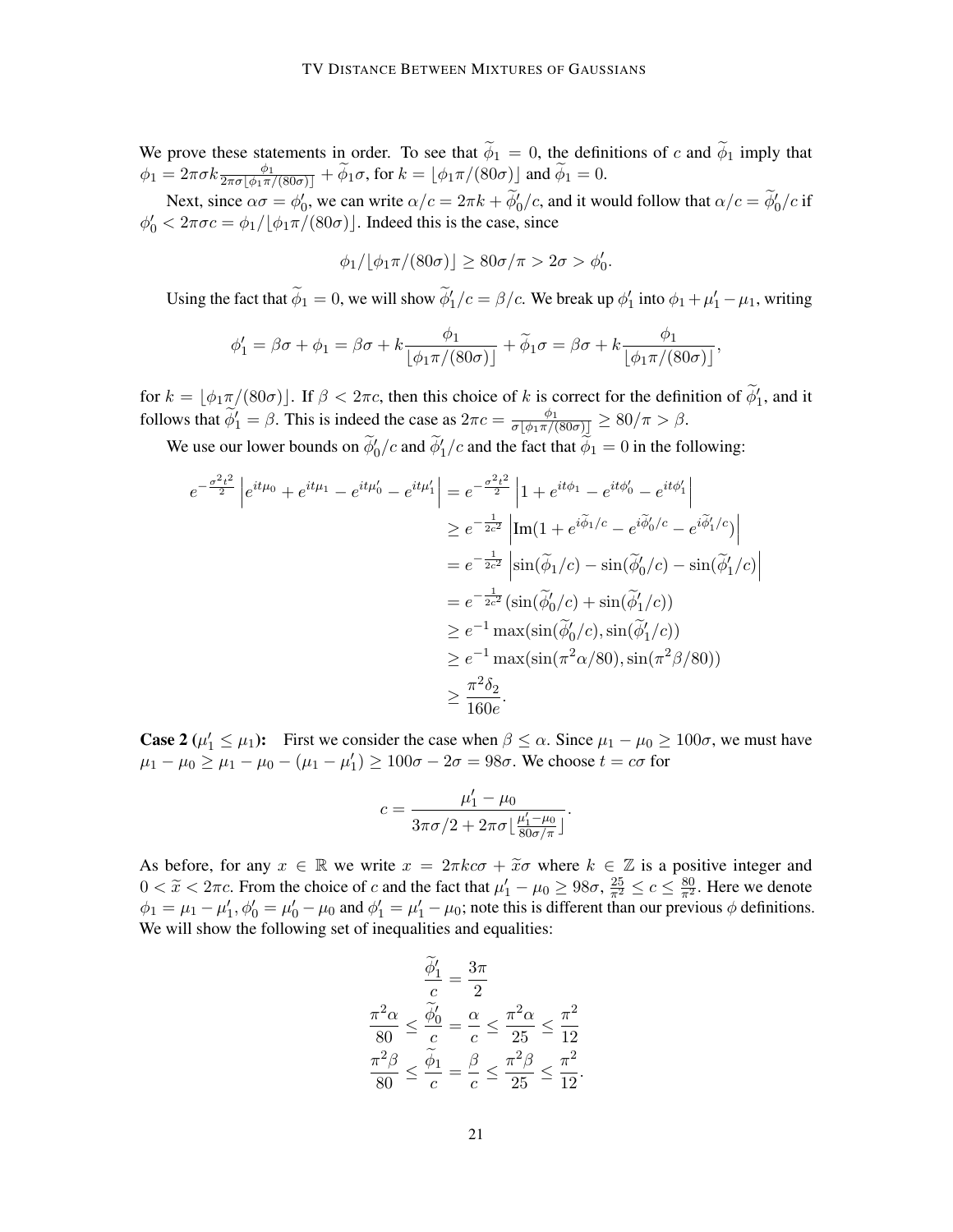We prove these statements in order. To see that  $\tilde{\phi}_1 = 0$ , the definitions of c and  $\tilde{\phi}_1$  imply that  $\phi_1=2\pi\sigma k\frac{\phi_1}{2\pi\sigma\lfloor\phi_1\pi/(80\sigma)\rfloor}+\widetilde\phi_1\sigma\text{, for }k=\lfloor\phi_1\pi/(80\sigma)\rfloor$  and  $\widetilde\phi_1=0.$ 

Next, since  $\alpha \sigma = \phi_0'$ , we can write  $\alpha/c = 2\pi k + \phi_0'/c$ , and it would follow that  $\alpha/c = \phi_0'/c$  if  $\phi'_0 < 2\pi\sigma c = \phi_1/[\phi_1\pi/(80\sigma)]$ . Indeed this is the case, since

$$
\phi_1/\lfloor \phi_1 \pi/(80\sigma)\rfloor \ge 80\sigma/\pi > 2\sigma > \phi'_0.
$$

Using the fact that  $\tilde{\phi}_1 = 0$ , we will show  $\tilde{\phi}'_1/c = \beta/c$ . We break up  $\phi'_1$  into  $\phi_1 + \mu'_1 - \mu_1$ , writing

$$
\phi_1' = \beta \sigma + \phi_1 = \beta \sigma + k \frac{\phi_1}{\left[\phi_1 \pi/(80\sigma)\right]} + \widetilde{\phi}_1 \sigma = \beta \sigma + k \frac{\phi_1}{\left[\phi_1 \pi/(80\sigma)\right]},
$$

for  $k = \lfloor \phi_1 \pi/(80\sigma) \rfloor$ . If  $\beta < 2\pi c$ , then this choice of k is correct for the definition of  $\widetilde{\phi}'_1$ , and it follows that  $\widetilde{\phi}'_1 = \beta$ . This is indeed the case as  $2\pi c = \frac{\phi_1}{\sigma[\phi_1 \pi/(80\sigma)]} \ge 80/\pi > \beta$ .

We use our lower bounds on  $\widetilde{\phi}_0'/c$  and  $\widetilde{\phi}_1'/c$  and the fact that  $\widetilde{\phi}_1 = 0$  in the following:

$$
e^{-\frac{\sigma^2 t^2}{2}} \left| e^{it\mu_0} + e^{it\mu_1} - e^{it\mu_0'} - e^{it\mu_1'} \right| = e^{-\frac{\sigma^2 t^2}{2}} \left| 1 + e^{it\phi_1} - e^{it\phi_0'} - e^{it\phi_1'} \right|
$$
  
\n
$$
\geq e^{-\frac{1}{2c^2}} \left| \text{Im}(1 + e^{i\widetilde{\phi}_1/c} - e^{i\widetilde{\phi}_0'/c} - e^{i\widetilde{\phi}_1'/c}) \right|
$$
  
\n
$$
= e^{-\frac{1}{2c^2}} \left| \sin(\widetilde{\phi}_1/c) - \sin(\widetilde{\phi}_0'/c) - \sin(\widetilde{\phi}_1'/c) \right|
$$
  
\n
$$
= e^{-\frac{1}{2c^2}} (\sin(\widetilde{\phi}_0'/c) + \sin(\widetilde{\phi}_1'/c))
$$
  
\n
$$
\geq e^{-1} \max(\sin(\widetilde{\phi}_0'/c), \sin(\widetilde{\phi}_1'/c))
$$
  
\n
$$
\geq e^{-1} \max(\sin(\pi^2 \alpha/80), \sin(\pi^2 \beta/80))
$$
  
\n
$$
\geq \frac{\pi^2 \delta_2}{160e}.
$$

**Case 2** ( $\mu'_1 \le \mu_1$ ): First we consider the case when  $\beta \le \alpha$ . Since  $\mu_1 - \mu_0 \ge 100\sigma$ , we must have  $\mu_1 - \mu_0 \ge \mu_1 - \mu_0 - (\mu_1 - \mu_1') \ge 100\sigma - 2\sigma = 98\sigma$ . We choose  $t = c\sigma$  for

$$
c = \frac{\mu'_1 - \mu_0}{3\pi\sigma/2 + 2\pi\sigma \left(\frac{\mu'_1 - \mu_0}{80\sigma/\pi}\right)}.
$$

As before, for any  $x \in \mathbb{R}$  we write  $x = 2\pi k c \sigma + \tilde{x} \sigma$  where  $k \in \mathbb{Z}$  is a positive integer and  $0 < \tilde{x} < 2\pi c$ . From the choice of c and the fact that  $\mu'_1 - \mu_0 \ge 98\sigma$ ,  $\frac{25}{\pi^2} \le c \le \frac{80}{\pi^2}$ . Here we denote  $\phi_1 = \mu_1 - \mu'_1$ ,  $\phi'_0 = \mu'_0 - \mu_0$  and  $\phi'_1 = \mu'_1 - \mu_0$ ; note this is different than our previous  $\phi$  definitions. We will show the following set of inequalities and equalities:

$$
\frac{\widetilde{\phi}'_1}{c} = \frac{3\pi}{2}
$$

$$
\frac{\pi^2 \alpha}{80} \le \frac{\widetilde{\phi}'_0}{c} = \frac{\alpha}{c} \le \frac{\pi^2 \alpha}{25} \le \frac{\pi^2}{12}
$$

$$
\frac{\pi^2 \beta}{80} \le \frac{\widetilde{\phi}_1}{c} = \frac{\beta}{c} \le \frac{\pi^2 \beta}{25} \le \frac{\pi^2}{12}
$$

.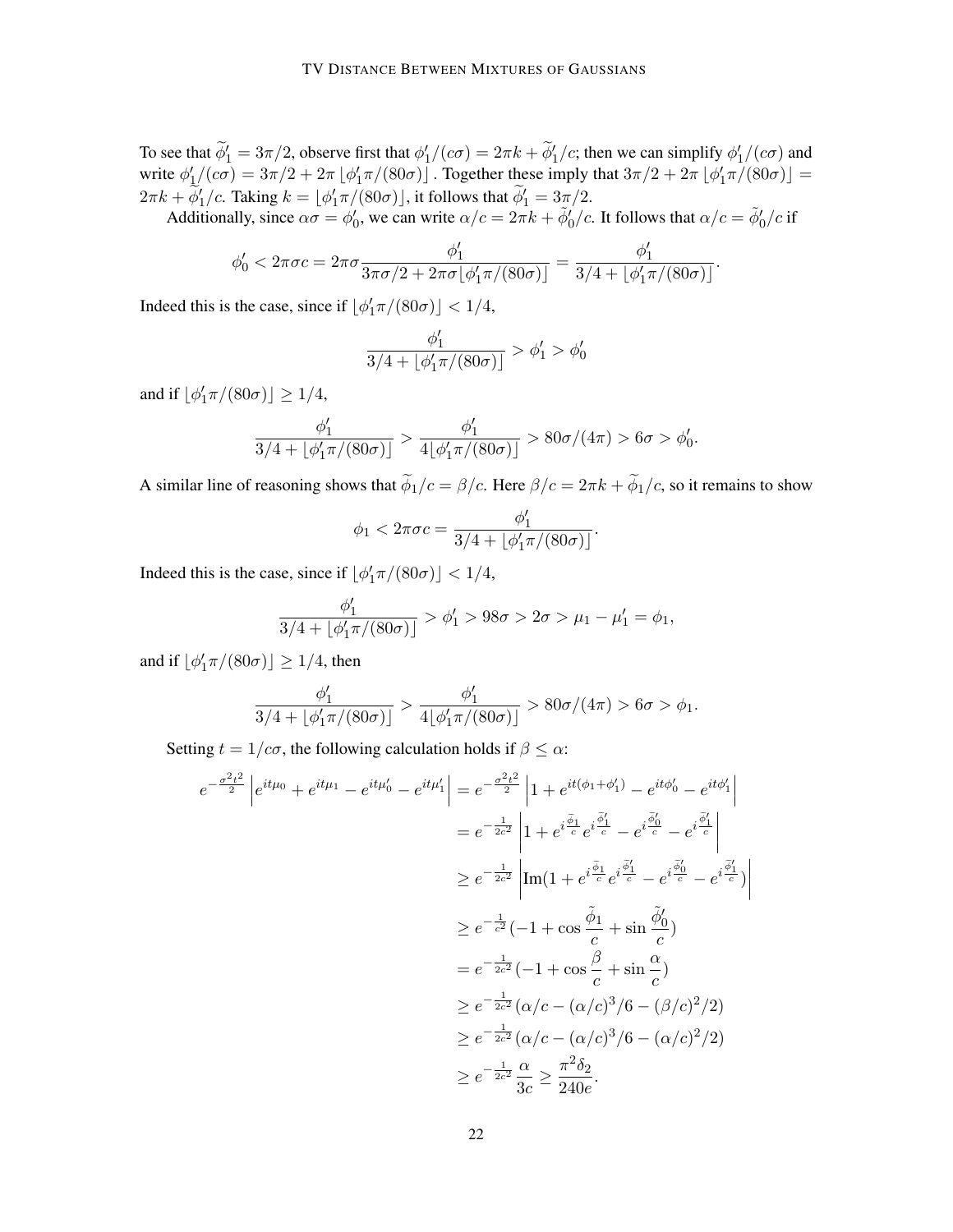To see that  $\phi_1' = 3\pi/2$ , observe first that  $\phi_1' / (c\sigma) = 2\pi k + \phi_1' / c$ ; then we can simplify  $\phi_1' / (c\sigma)$  and write  $\phi'_1/(\epsilon \sigma) = 3\pi/2 + 2\pi \left[ \phi'_1 \pi/(80\sigma) \right]$ . Together these imply that  $3\pi/2 + 2\pi \left[ \phi'_1 \pi/(80\sigma) \right] =$  $2\pi k + \widetilde{\phi}'_1/c$ . Taking  $k = \lfloor \phi'_1 \pi/(80\sigma) \rfloor$ , it follows that  $\widetilde{\phi}'_1 = 3\pi/2$ .

Additionally, since  $\alpha \sigma = \phi'_0$ , we can write  $\alpha/c = 2\pi k + \tilde{\phi}'_0/c$ . It follows that  $\alpha/c = \tilde{\phi}'_0/c$  if

$$
\phi_0' < 2\pi\sigma c = 2\pi\sigma \frac{\phi_1'}{3\pi\sigma/2 + 2\pi\sigma \lfloor \phi_1' \pi/(80\sigma) \rfloor} = \frac{\phi_1'}{3/4 + \lfloor \phi_1' \pi/(80\sigma) \rfloor}.
$$

Indeed this is the case, since if  $\lfloor \phi'_1 \pi/(80\sigma) \rfloor < 1/4$ ,

$$
\frac{\phi_1'}{3/4+\lfloor\phi_1'\pi/(80\sigma)\rfloor} > \phi_1' > \phi_0'
$$

and if  $\lfloor \phi'_1 \pi/(80\sigma) \rfloor \ge 1/4$ ,

$$
\frac{\phi_1'}{3/4 + \lfloor \phi_1' \pi/(80\sigma) \rfloor} > \frac{\phi_1'}{4\lfloor \phi_1' \pi/(80\sigma) \rfloor} > 80\sigma/(4\pi) > 6\sigma > \phi_0'.
$$

A similar line of reasoning shows that  $\tilde{\phi}_1/c = \beta/c$ . Here  $\beta/c = 2\pi k + \tilde{\phi}_1/c$ , so it remains to show

$$
\phi_1 < 2\pi\sigma c = \frac{\phi_1'}{3/4 + \lfloor \phi_1' \pi/(80\sigma) \rfloor}.
$$

Indeed this is the case, since if  $\lfloor \phi'_1 \pi/(80\sigma) \rfloor < 1/4$ ,

$$
\frac{\phi_1'}{3/4 + \lfloor \phi_1' \pi/(80\sigma) \rfloor} > \phi_1' > 98\sigma > 2\sigma > \mu_1 - \mu_1' = \phi_1,
$$

and if  $\lfloor \phi'_1 \pi/(80\sigma) \rfloor \ge 1/4$ , then

$$
\frac{\phi_1'}{3/4 + \lfloor \phi_1' \pi/(80\sigma) \rfloor} > \frac{\phi_1'}{4\lfloor \phi_1' \pi/(80\sigma) \rfloor} > 80\sigma/(4\pi) > 6\sigma > \phi_1.
$$

Setting  $t = 1/c\sigma$ , the following calculation holds if  $\beta \leq \alpha$ :

$$
e^{-\frac{\sigma^2 t^2}{2}} \left| e^{it\mu_0} + e^{it\mu_1} - e^{it\mu_0'} - e^{it\mu_1'} \right| = e^{-\frac{\sigma^2 t^2}{2}} \left| 1 + e^{it(\phi_1 + \phi_1')} - e^{it\phi_0'} - e^{it\phi_1'} \right|
$$
  
\n
$$
= e^{-\frac{1}{2c^2}} \left| 1 + e^{i\frac{\tilde{\phi}_1}{c}} e^{i\frac{\tilde{\phi}_1'}{c}} - e^{i\frac{\tilde{\phi}_0'}{c}} - e^{i\frac{\tilde{\phi}_1'}{c}} \right|
$$
  
\n
$$
\geq e^{-\frac{1}{2c^2}} \left| \text{Im}(1 + e^{i\frac{\tilde{\phi}_1}{c}} e^{i\frac{\tilde{\phi}_1'}{c}} - e^{i\frac{\tilde{\phi}_0'}{c}} - e^{i\frac{\tilde{\phi}_1'}{c}}) \right|
$$
  
\n
$$
\geq e^{-\frac{1}{c^2}} (-1 + \cos \frac{\tilde{\phi}_1}{c} + \sin \frac{\tilde{\phi}_0'}{c})
$$
  
\n
$$
= e^{-\frac{1}{2c^2}} (-1 + \cos \frac{\beta}{c} + \sin \frac{\alpha}{c})
$$
  
\n
$$
\geq e^{-\frac{1}{2c^2}} (\alpha/c - (\alpha/c)^3/6 - (\beta/c)^2/2)
$$
  
\n
$$
\geq e^{-\frac{1}{2c^2}} \frac{\alpha}{3c} \geq \frac{\pi^2 \delta_2}{240e}.
$$